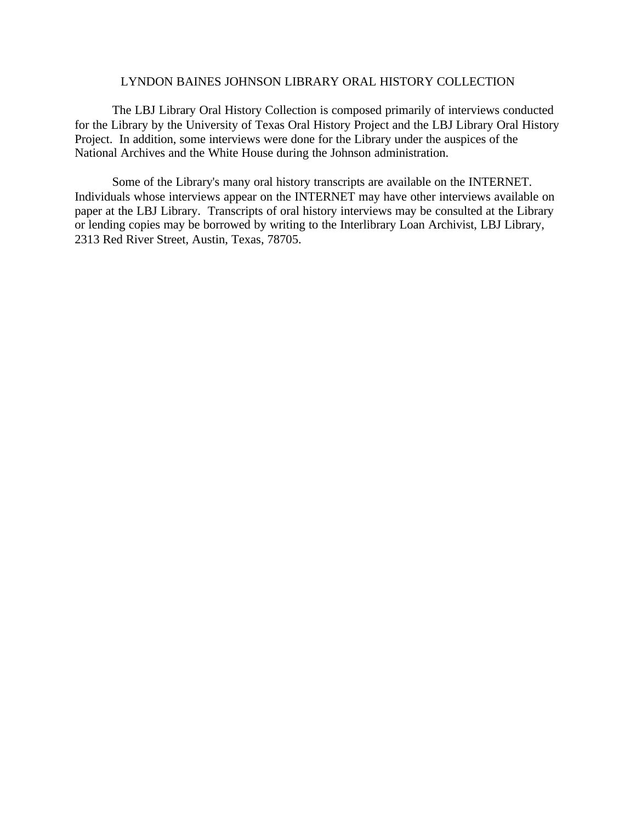#### LYNDON BAINES JOHNSON LIBRARY ORAL HISTORY COLLECTION

The LBJ Library Oral History Collection is composed primarily of interviews conducted for the Library by the University of Texas Oral History Project and the LBJ Library Oral History Project. In addition, some interviews were done for the Library under the auspices of the National Archives and the White House during the Johnson administration.

Some of the Library's many oral history transcripts are available on the INTERNET. Individuals whose interviews appear on the INTERNET may have other interviews available on paper at the LBJ Library. Transcripts of oral history interviews may be consulted at the Library or lending copies may be borrowed by writing to the Interlibrary Loan Archivist, LBJ Library, 2313 Red River Street, Austin, Texas, 78705.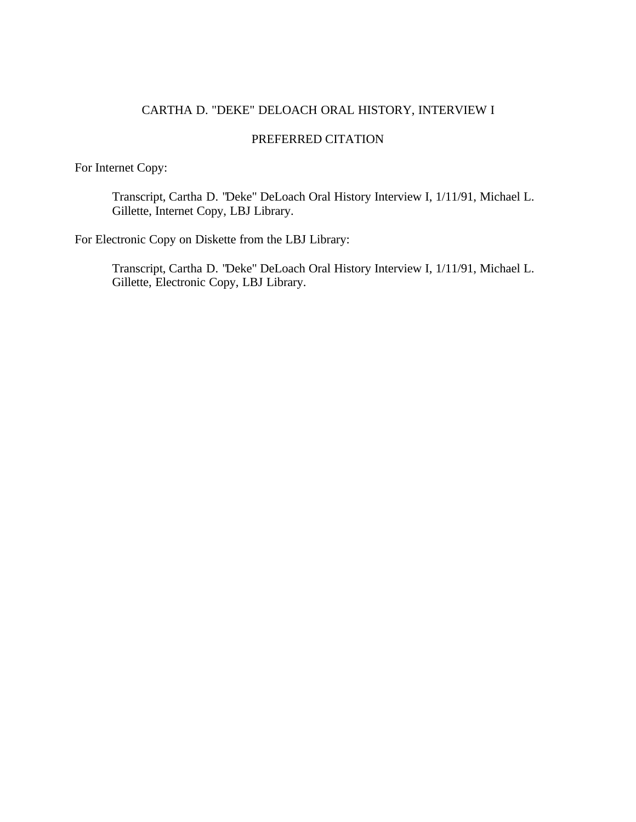# CARTHA D. "DEKE" DELOACH ORAL HISTORY, INTERVIEW I

## PREFERRED CITATION

For Internet Copy:

Transcript, Cartha D. "Deke" DeLoach Oral History Interview I, 1/11/91, Michael L. Gillette, Internet Copy, LBJ Library.

For Electronic Copy on Diskette from the LBJ Library:

Transcript, Cartha D. "Deke" DeLoach Oral History Interview I, 1/11/91, Michael L. Gillette, Electronic Copy, LBJ Library.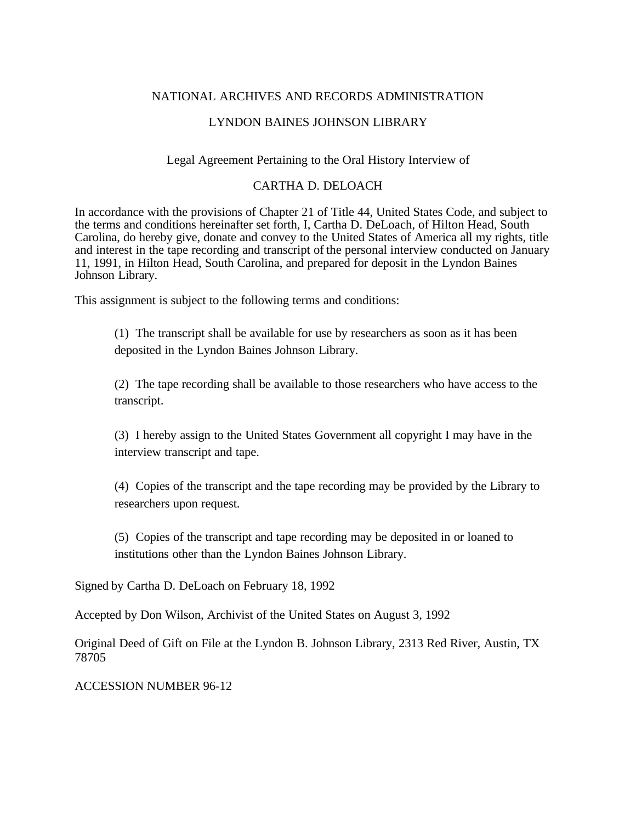## NATIONAL ARCHIVES AND RECORDS ADMINISTRATION

## LYNDON BAINES JOHNSON LIBRARY

## Legal Agreement Pertaining to the Oral History Interview of

#### CARTHA D. DELOACH

In accordance with the provisions of Chapter 21 of Title 44, United States Code, and subject to the terms and conditions hereinafter set forth, I, Cartha D. DeLoach, of Hilton Head, South Carolina, do hereby give, donate and convey to the United States of America all my rights, title and interest in the tape recording and transcript of the personal interview conducted on January 11, 1991, in Hilton Head, South Carolina, and prepared for deposit in the Lyndon Baines Johnson Library.

This assignment is subject to the following terms and conditions:

(1) The transcript shall be available for use by researchers as soon as it has been deposited in the Lyndon Baines Johnson Library.

(2) The tape recording shall be available to those researchers who have access to the transcript.

(3) I hereby assign to the United States Government all copyright I may have in the interview transcript and tape.

(4) Copies of the transcript and the tape recording may be provided by the Library to researchers upon request.

(5) Copies of the transcript and tape recording may be deposited in or loaned to institutions other than the Lyndon Baines Johnson Library.

Signed by Cartha D. DeLoach on February 18, 1992

Accepted by Don Wilson, Archivist of the United States on August 3, 1992

Original Deed of Gift on File at the Lyndon B. Johnson Library, 2313 Red River, Austin, TX 78705

ACCESSION NUMBER 96-12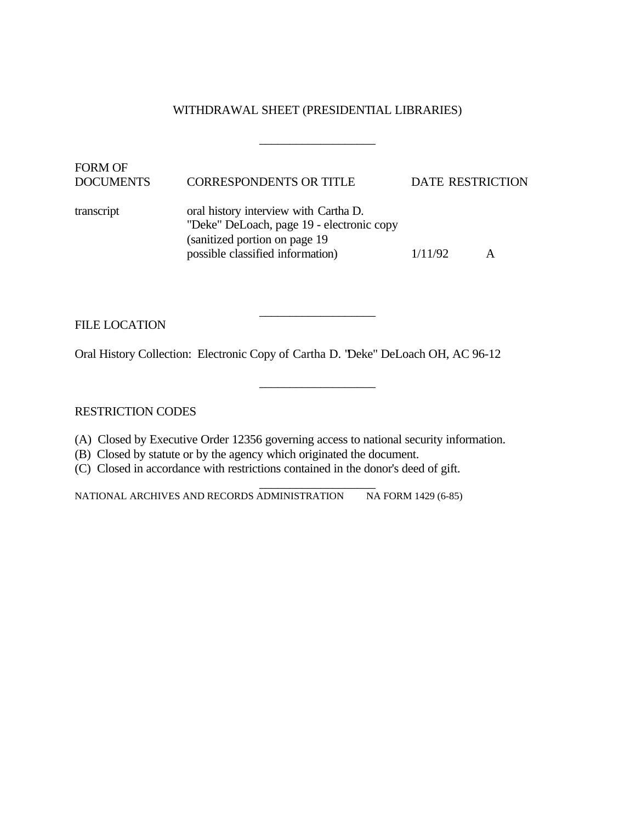### WITHDRAWAL SHEET (PRESIDENTIAL LIBRARIES)

\_\_\_\_\_\_\_\_\_\_\_\_\_\_\_\_\_\_\_

\_\_\_\_\_\_\_\_\_\_\_\_\_\_\_\_\_\_\_

\_\_\_\_\_\_\_\_\_\_\_\_\_\_\_\_\_\_\_

| <b>FORM OF</b><br><b>DOCUMENTS</b> | <b>CORRESPONDENTS OR TITLE</b>                                                                                                                           | <b>DATE RESTRICTION</b> |  |
|------------------------------------|----------------------------------------------------------------------------------------------------------------------------------------------------------|-------------------------|--|
| transcript                         | oral history interview with Cartha D.<br>"Deke" DeLoach, page 19 - electronic copy<br>(sanitized portion on page 19)<br>possible classified information) | 1/11/92                 |  |

FILE LOCATION

Oral History Collection: Electronic Copy of Cartha D. "Deke" DeLoach OH, AC 96-12

RESTRICTION CODES

- (A) Closed by Executive Order 12356 governing access to national security information.
- (B) Closed by statute or by the agency which originated the document.
- (C) Closed in accordance with restrictions contained in the donor's deed of gift.

\_\_\_\_\_\_\_\_\_\_\_\_\_\_\_\_\_\_\_ NATIONAL ARCHIVES AND RECORDS ADMINISTRATION NA FORM 1429 (6-85)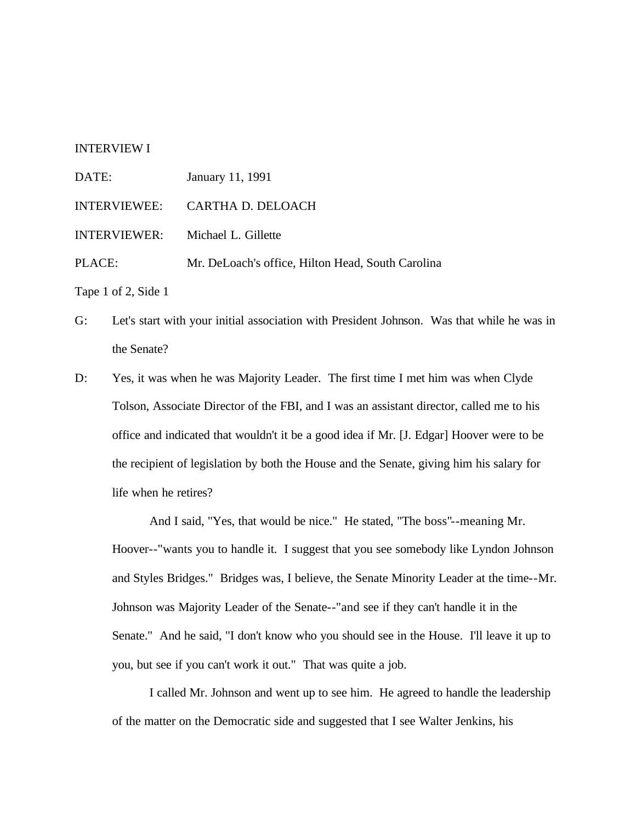#### INTERVIEW I

| DATE:        | January 11, 1991                                  |
|--------------|---------------------------------------------------|
| INTERVIEWEE: | CARTHA D. DELOACH                                 |
|              | INTERVIEWER: Michael L. Gillette                  |
| PLACE:       | Mr. DeLoach's office, Hilton Head, South Carolina |
|              |                                                   |

Tape 1 of 2, Side 1

- G: Let's start with your initial association with President Johnson. Was that while he was in the Senate?
- D: Yes, it was when he was Majority Leader. The first time I met him was when Clyde Tolson, Associate Director of the FBI, and I was an assistant director, called me to his office and indicated that wouldn't it be a good idea if Mr. [J. Edgar] Hoover were to be the recipient of legislation by both the House and the Senate, giving him his salary for life when he retires?

And I said, "Yes, that would be nice." He stated, "The boss"--meaning Mr. Hoover--"wants you to handle it. I suggest that you see somebody like Lyndon Johnson and Styles Bridges." Bridges was, I believe, the Senate Minority Leader at the time--Mr. Johnson was Majority Leader of the Senate--"and see if they can't handle it in the Senate." And he said, "I don't know who you should see in the House. I'll leave it up to you, but see if you can't work it out." That was quite a job.

I called Mr. Johnson and went up to see him. He agreed to handle the leadership of the matter on the Democratic side and suggested that I see Walter Jenkins, his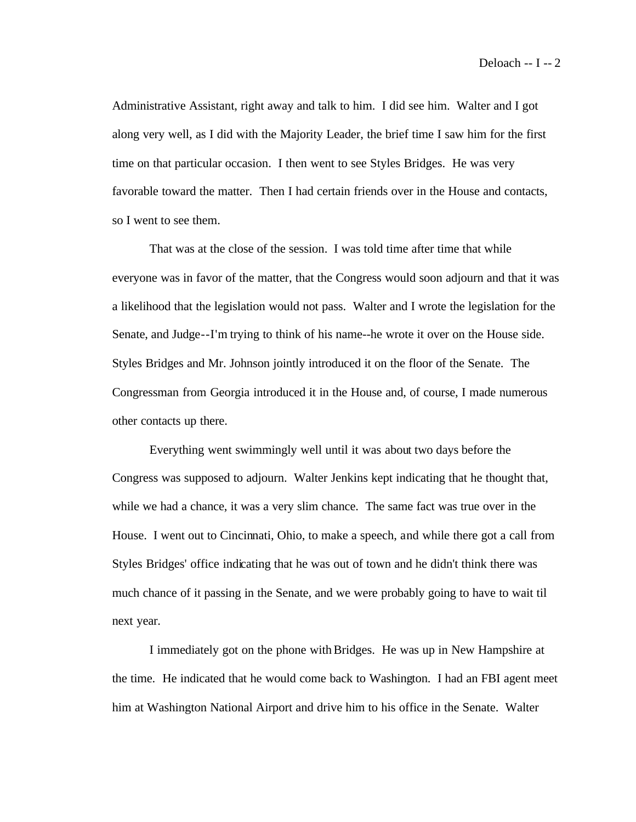Administrative Assistant, right away and talk to him. I did see him. Walter and I got along very well, as I did with the Majority Leader, the brief time I saw him for the first time on that particular occasion. I then went to see Styles Bridges. He was very favorable toward the matter. Then I had certain friends over in the House and contacts, so I went to see them.

That was at the close of the session. I was told time after time that while everyone was in favor of the matter, that the Congress would soon adjourn and that it was a likelihood that the legislation would not pass. Walter and I wrote the legislation for the Senate, and Judge--I'm trying to think of his name--he wrote it over on the House side. Styles Bridges and Mr. Johnson jointly introduced it on the floor of the Senate. The Congressman from Georgia introduced it in the House and, of course, I made numerous other contacts up there.

Everything went swimmingly well until it was about two days before the Congress was supposed to adjourn. Walter Jenkins kept indicating that he thought that, while we had a chance, it was a very slim chance. The same fact was true over in the House. I went out to Cincinnati, Ohio, to make a speech, and while there got a call from Styles Bridges' office indicating that he was out of town and he didn't think there was much chance of it passing in the Senate, and we were probably going to have to wait til next year.

I immediately got on the phone with Bridges. He was up in New Hampshire at the time. He indicated that he would come back to Washington. I had an FBI agent meet him at Washington National Airport and drive him to his office in the Senate. Walter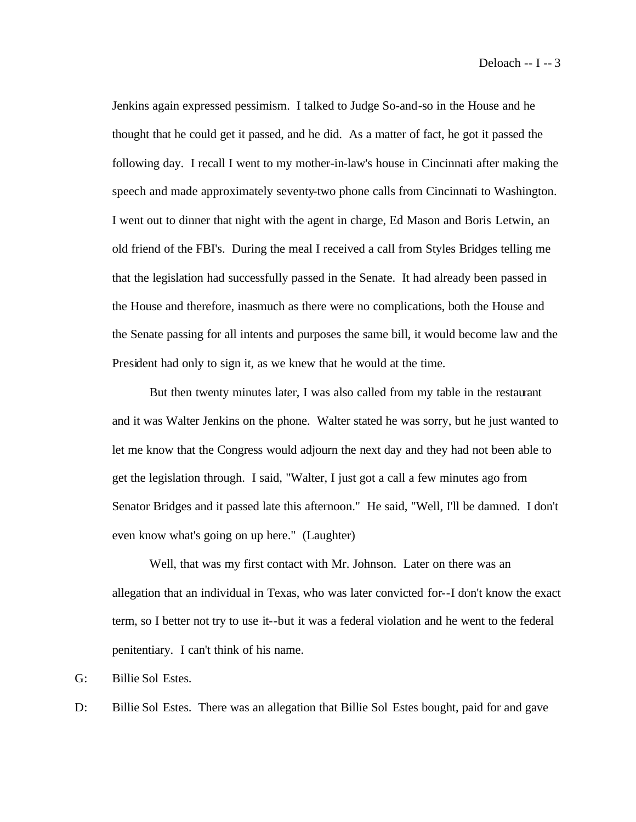Jenkins again expressed pessimism. I talked to Judge So-and-so in the House and he thought that he could get it passed, and he did. As a matter of fact, he got it passed the following day. I recall I went to my mother-in-law's house in Cincinnati after making the speech and made approximately seventy-two phone calls from Cincinnati to Washington. I went out to dinner that night with the agent in charge, Ed Mason and Boris Letwin, an old friend of the FBI's. During the meal I received a call from Styles Bridges telling me that the legislation had successfully passed in the Senate. It had already been passed in the House and therefore, inasmuch as there were no complications, both the House and the Senate passing for all intents and purposes the same bill, it would become law and the President had only to sign it, as we knew that he would at the time.

But then twenty minutes later, I was also called from my table in the restaurant and it was Walter Jenkins on the phone. Walter stated he was sorry, but he just wanted to let me know that the Congress would adjourn the next day and they had not been able to get the legislation through. I said, "Walter, I just got a call a few minutes ago from Senator Bridges and it passed late this afternoon." He said, "Well, I'll be damned. I don't even know what's going on up here." (Laughter)

Well, that was my first contact with Mr. Johnson. Later on there was an allegation that an individual in Texas, who was later convicted for--I don't know the exact term, so I better not try to use it--but it was a federal violation and he went to the federal penitentiary. I can't think of his name.

G: Billie Sol Estes.

D: Billie Sol Estes. There was an allegation that Billie Sol Estes bought, paid for and gave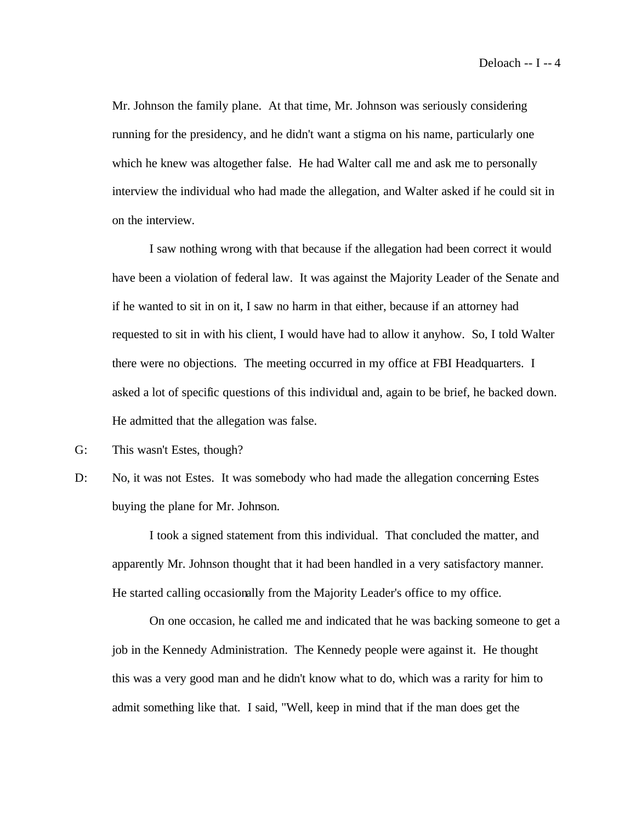Mr. Johnson the family plane. At that time, Mr. Johnson was seriously considering running for the presidency, and he didn't want a stigma on his name, particularly one which he knew was altogether false. He had Walter call me and ask me to personally interview the individual who had made the allegation, and Walter asked if he could sit in on the interview.

I saw nothing wrong with that because if the allegation had been correct it would have been a violation of federal law. It was against the Majority Leader of the Senate and if he wanted to sit in on it, I saw no harm in that either, because if an attorney had requested to sit in with his client, I would have had to allow it anyhow. So, I told Walter there were no objections. The meeting occurred in my office at FBI Headquarters. I asked a lot of specific questions of this individual and, again to be brief, he backed down. He admitted that the allegation was false.

- G: This wasn't Estes, though?
- D: No, it was not Estes. It was somebody who had made the allegation concerning Estes buying the plane for Mr. Johnson.

I took a signed statement from this individual. That concluded the matter, and apparently Mr. Johnson thought that it had been handled in a very satisfactory manner. He started calling occasionally from the Majority Leader's office to my office.

On one occasion, he called me and indicated that he was backing someone to get a job in the Kennedy Administration. The Kennedy people were against it. He thought this was a very good man and he didn't know what to do, which was a rarity for him to admit something like that. I said, "Well, keep in mind that if the man does get the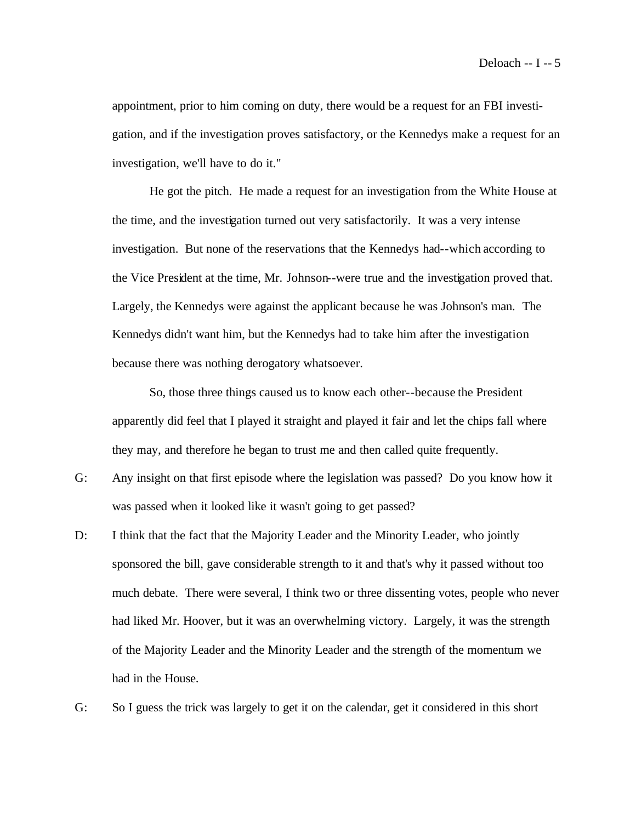appointment, prior to him coming on duty, there would be a request for an FBI investigation, and if the investigation proves satisfactory, or the Kennedys make a request for an investigation, we'll have to do it."

He got the pitch. He made a request for an investigation from the White House at the time, and the investigation turned out very satisfactorily. It was a very intense investigation. But none of the reservations that the Kennedys had--which according to the Vice President at the time, Mr. Johnson--were true and the investigation proved that. Largely, the Kennedys were against the applicant because he was Johnson's man. The Kennedys didn't want him, but the Kennedys had to take him after the investigation because there was nothing derogatory whatsoever.

So, those three things caused us to know each other--because the President apparently did feel that I played it straight and played it fair and let the chips fall where they may, and therefore he began to trust me and then called quite frequently.

- G: Any insight on that first episode where the legislation was passed? Do you know how it was passed when it looked like it wasn't going to get passed?
- D: I think that the fact that the Majority Leader and the Minority Leader, who jointly sponsored the bill, gave considerable strength to it and that's why it passed without too much debate. There were several, I think two or three dissenting votes, people who never had liked Mr. Hoover, but it was an overwhelming victory. Largely, it was the strength of the Majority Leader and the Minority Leader and the strength of the momentum we had in the House.
- G: So I guess the trick was largely to get it on the calendar, get it considered in this short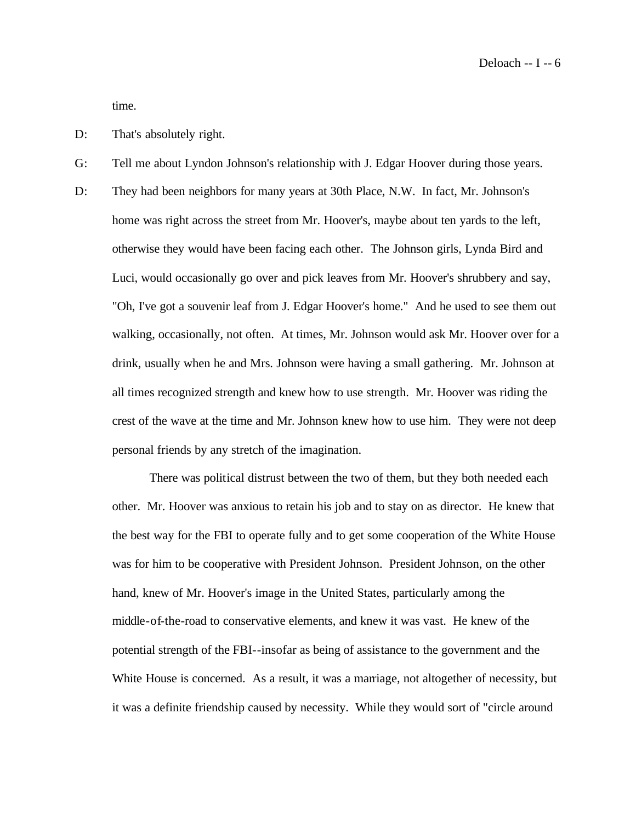Deloach -- I -- 6

time.

- D: That's absolutely right.
- G: Tell me about Lyndon Johnson's relationship with J. Edgar Hoover during those years.
- D: They had been neighbors for many years at 30th Place, N.W. In fact, Mr. Johnson's home was right across the street from Mr. Hoover's, maybe about ten yards to the left, otherwise they would have been facing each other. The Johnson girls, Lynda Bird and Luci, would occasionally go over and pick leaves from Mr. Hoover's shrubbery and say, "Oh, I've got a souvenir leaf from J. Edgar Hoover's home." And he used to see them out walking, occasionally, not often. At times, Mr. Johnson would ask Mr. Hoover over for a drink, usually when he and Mrs. Johnson were having a small gathering. Mr. Johnson at all times recognized strength and knew how to use strength. Mr. Hoover was riding the crest of the wave at the time and Mr. Johnson knew how to use him. They were not deep personal friends by any stretch of the imagination.

There was political distrust between the two of them, but they both needed each other. Mr. Hoover was anxious to retain his job and to stay on as director. He knew that the best way for the FBI to operate fully and to get some cooperation of the White House was for him to be cooperative with President Johnson. President Johnson, on the other hand, knew of Mr. Hoover's image in the United States, particularly among the middle-of-the-road to conservative elements, and knew it was vast. He knew of the potential strength of the FBI--insofar as being of assistance to the government and the White House is concerned. As a result, it was a marriage, not altogether of necessity, but it was a definite friendship caused by necessity. While they would sort of "circle around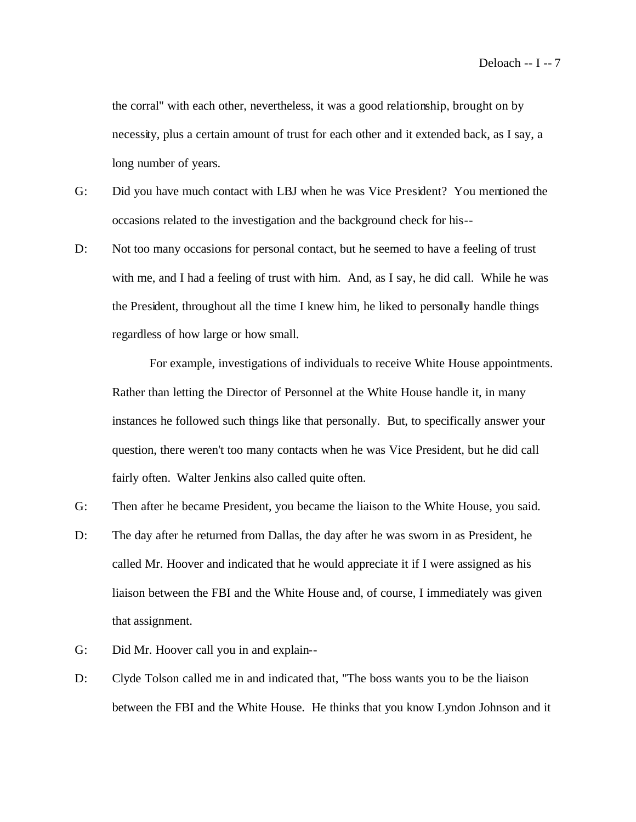the corral" with each other, nevertheless, it was a good relationship, brought on by necessity, plus a certain amount of trust for each other and it extended back, as I say, a long number of years.

- G: Did you have much contact with LBJ when he was Vice President? You mentioned the occasions related to the investigation and the background check for his--
- D: Not too many occasions for personal contact, but he seemed to have a feeling of trust with me, and I had a feeling of trust with him. And, as I say, he did call. While he was the President, throughout all the time I knew him, he liked to personally handle things regardless of how large or how small.

For example, investigations of individuals to receive White House appointments. Rather than letting the Director of Personnel at the White House handle it, in many instances he followed such things like that personally. But, to specifically answer your question, there weren't too many contacts when he was Vice President, but he did call fairly often. Walter Jenkins also called quite often.

- G: Then after he became President, you became the liaison to the White House, you said.
- D: The day after he returned from Dallas, the day after he was sworn in as President, he called Mr. Hoover and indicated that he would appreciate it if I were assigned as his liaison between the FBI and the White House and, of course, I immediately was given that assignment.
- G: Did Mr. Hoover call you in and explain--
- D: Clyde Tolson called me in and indicated that, "The boss wants you to be the liaison between the FBI and the White House. He thinks that you know Lyndon Johnson and it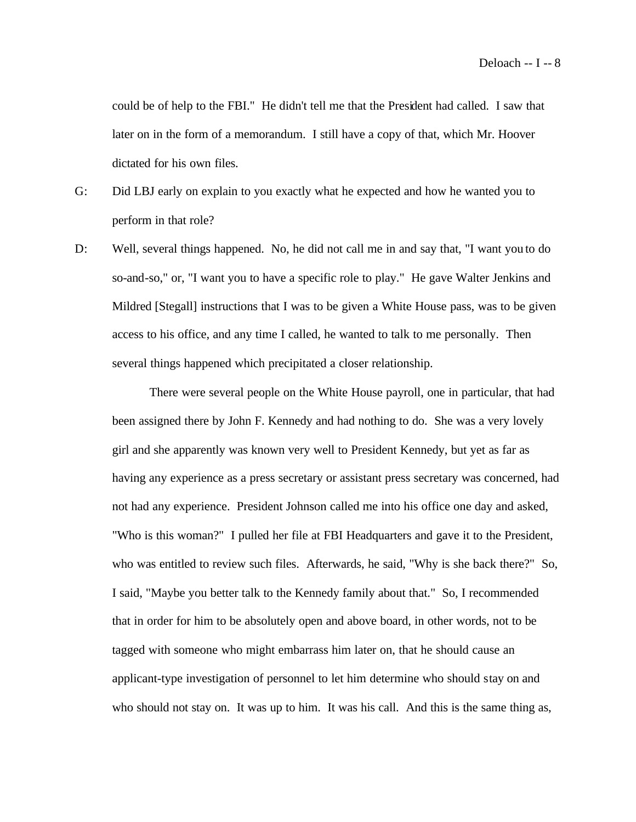could be of help to the FBI." He didn't tell me that the President had called. I saw that later on in the form of a memorandum. I still have a copy of that, which Mr. Hoover dictated for his own files.

- G: Did LBJ early on explain to you exactly what he expected and how he wanted you to perform in that role?
- D: Well, several things happened. No, he did not call me in and say that, "I want you to do so-and-so," or, "I want you to have a specific role to play." He gave Walter Jenkins and Mildred [Stegall] instructions that I was to be given a White House pass, was to be given access to his office, and any time I called, he wanted to talk to me personally. Then several things happened which precipitated a closer relationship.

There were several people on the White House payroll, one in particular, that had been assigned there by John F. Kennedy and had nothing to do. She was a very lovely girl and she apparently was known very well to President Kennedy, but yet as far as having any experience as a press secretary or assistant press secretary was concerned, had not had any experience. President Johnson called me into his office one day and asked, "Who is this woman?" I pulled her file at FBI Headquarters and gave it to the President, who was entitled to review such files. Afterwards, he said, "Why is she back there?" So, I said, "Maybe you better talk to the Kennedy family about that." So, I recommended that in order for him to be absolutely open and above board, in other words, not to be tagged with someone who might embarrass him later on, that he should cause an applicant-type investigation of personnel to let him determine who should stay on and who should not stay on. It was up to him. It was his call. And this is the same thing as,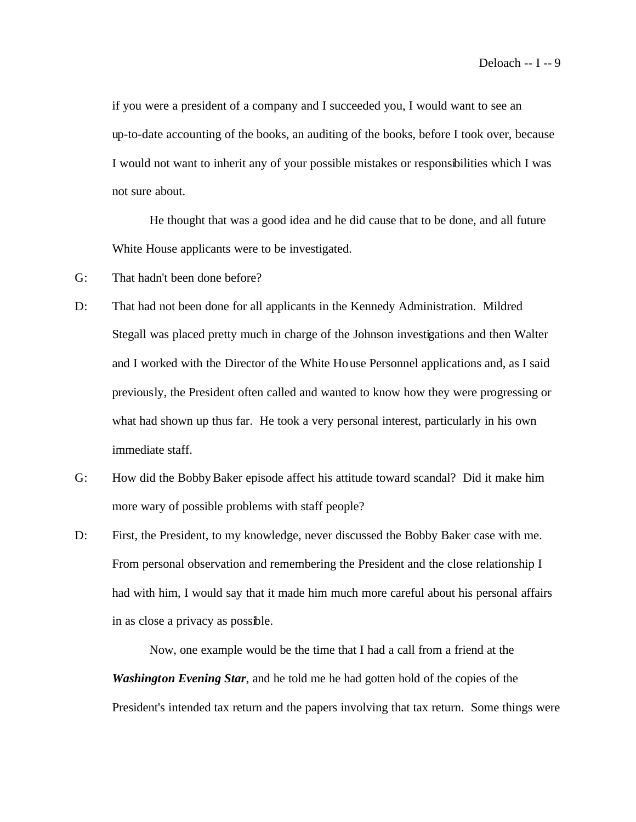if you were a president of a company and I succeeded you, I would want to see an up-to-date accounting of the books, an auditing of the books, before I took over, because I would not want to inherit any of your possible mistakes or responsibilities which I was not sure about.

He thought that was a good idea and he did cause that to be done, and all future White House applicants were to be investigated.

- G: That hadn't been done before?
- D: That had not been done for all applicants in the Kennedy Administration. Mildred Stegall was placed pretty much in charge of the Johnson investigations and then Walter and I worked with the Director of the White House Personnel applications and, as I said previously, the President often called and wanted to know how they were progressing or what had shown up thus far. He took a very personal interest, particularly in his own immediate staff.
- G: How did the Bobby Baker episode affect his attitude toward scandal? Did it make him more wary of possible problems with staff people?
- D: First, the President, to my knowledge, never discussed the Bobby Baker case with me. From personal observation and remembering the President and the close relationship I had with him, I would say that it made him much more careful about his personal affairs in as close a privacy as possible.

Now, one example would be the time that I had a call from a friend at the *Washington Evening Star*, and he told me he had gotten hold of the copies of the President's intended tax return and the papers involving that tax return. Some things were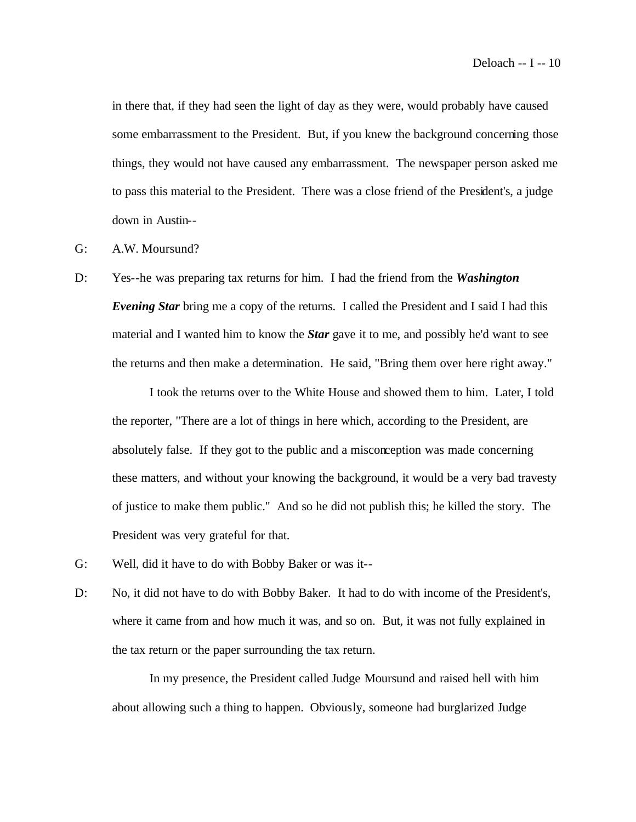in there that, if they had seen the light of day as they were, would probably have caused some embarrassment to the President. But, if you knew the background concerning those things, they would not have caused any embarrassment. The newspaper person asked me to pass this material to the President. There was a close friend of the President's, a judge down in Austin--

- G: A.W. Moursund?
- D: Yes--he was preparing tax returns for him. I had the friend from the *Washington Evening Star* bring me a copy of the returns. I called the President and I said I had this material and I wanted him to know the *Star* gave it to me, and possibly he'd want to see the returns and then make a determination. He said, "Bring them over here right away."

I took the returns over to the White House and showed them to him. Later, I told the reporter, "There are a lot of things in here which, according to the President, are absolutely false. If they got to the public and a misconception was made concerning these matters, and without your knowing the background, it would be a very bad travesty of justice to make them public." And so he did not publish this; he killed the story. The President was very grateful for that.

- G: Well, did it have to do with Bobby Baker or was it--
- D: No, it did not have to do with Bobby Baker. It had to do with income of the President's, where it came from and how much it was, and so on. But, it was not fully explained in the tax return or the paper surrounding the tax return.

In my presence, the President called Judge Moursund and raised hell with him about allowing such a thing to happen. Obviously, someone had burglarized Judge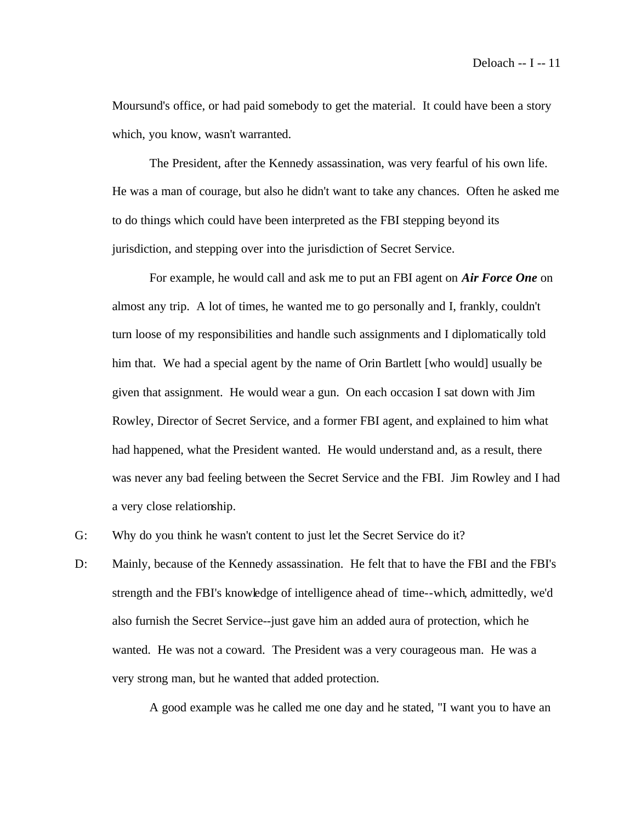Moursund's office, or had paid somebody to get the material. It could have been a story which, you know, wasn't warranted.

The President, after the Kennedy assassination, was very fearful of his own life. He was a man of courage, but also he didn't want to take any chances. Often he asked me to do things which could have been interpreted as the FBI stepping beyond its jurisdiction, and stepping over into the jurisdiction of Secret Service.

For example, he would call and ask me to put an FBI agent on *Air Force One* on almost any trip. A lot of times, he wanted me to go personally and I, frankly, couldn't turn loose of my responsibilities and handle such assignments and I diplomatically told him that. We had a special agent by the name of Orin Bartlett [who would] usually be given that assignment. He would wear a gun. On each occasion I sat down with Jim Rowley, Director of Secret Service, and a former FBI agent, and explained to him what had happened, what the President wanted. He would understand and, as a result, there was never any bad feeling between the Secret Service and the FBI. Jim Rowley and I had a very close relationship.

- G: Why do you think he wasn't content to just let the Secret Service do it?
- D: Mainly, because of the Kennedy assassination. He felt that to have the FBI and the FBI's strength and the FBI's knowledge of intelligence ahead of time--which, admittedly, we'd also furnish the Secret Service--just gave him an added aura of protection, which he wanted. He was not a coward. The President was a very courageous man. He was a very strong man, but he wanted that added protection.

A good example was he called me one day and he stated, "I want you to have an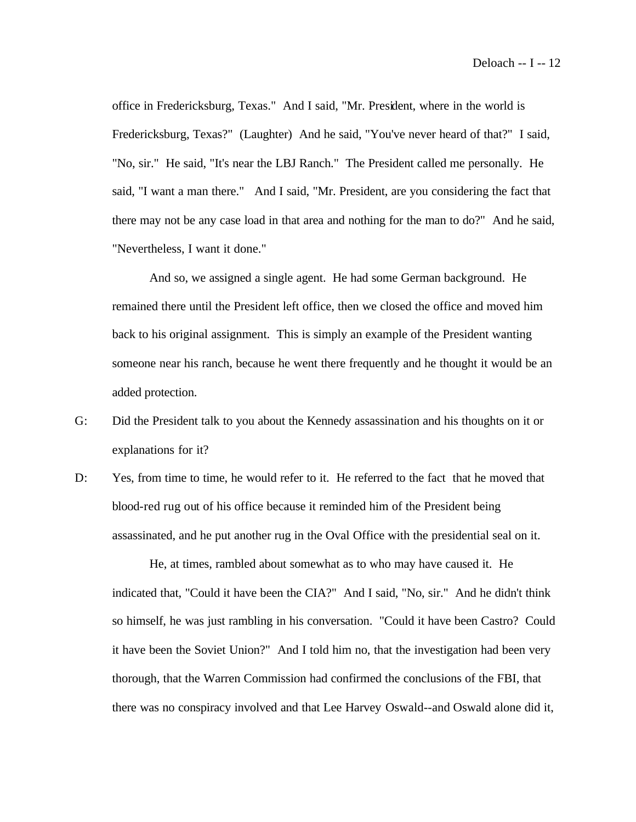office in Fredericksburg, Texas." And I said, "Mr. President, where in the world is Fredericksburg, Texas?" (Laughter) And he said, "You've never heard of that?" I said, "No, sir." He said, "It's near the LBJ Ranch." The President called me personally. He said, "I want a man there." And I said, "Mr. President, are you considering the fact that there may not be any case load in that area and nothing for the man to do?" And he said, "Nevertheless, I want it done."

And so, we assigned a single agent. He had some German background. He remained there until the President left office, then we closed the office and moved him back to his original assignment. This is simply an example of the President wanting someone near his ranch, because he went there frequently and he thought it would be an added protection.

- G: Did the President talk to you about the Kennedy assassination and his thoughts on it or explanations for it?
- D: Yes, from time to time, he would refer to it. He referred to the fact that he moved that blood-red rug out of his office because it reminded him of the President being assassinated, and he put another rug in the Oval Office with the presidential seal on it.

He, at times, rambled about somewhat as to who may have caused it. He indicated that, "Could it have been the CIA?" And I said, "No, sir." And he didn't think so himself, he was just rambling in his conversation. "Could it have been Castro? Could it have been the Soviet Union?" And I told him no, that the investigation had been very thorough, that the Warren Commission had confirmed the conclusions of the FBI, that there was no conspiracy involved and that Lee Harvey Oswald--and Oswald alone did it,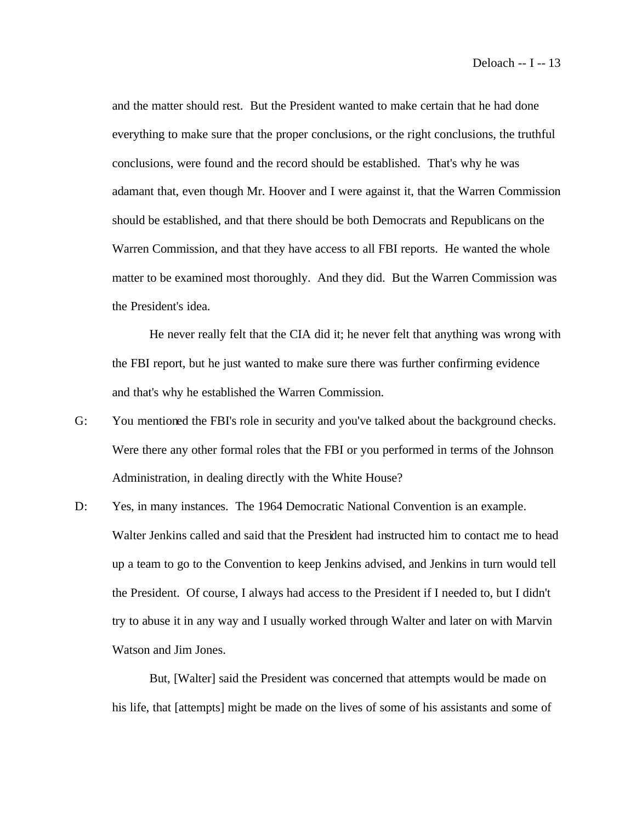and the matter should rest. But the President wanted to make certain that he had done everything to make sure that the proper conclusions, or the right conclusions, the truthful conclusions, were found and the record should be established. That's why he was adamant that, even though Mr. Hoover and I were against it, that the Warren Commission should be established, and that there should be both Democrats and Republicans on the Warren Commission, and that they have access to all FBI reports. He wanted the whole matter to be examined most thoroughly. And they did. But the Warren Commission was the President's idea.

He never really felt that the CIA did it; he never felt that anything was wrong with the FBI report, but he just wanted to make sure there was further confirming evidence and that's why he established the Warren Commission.

- G: You mentioned the FBI's role in security and you've talked about the background checks. Were there any other formal roles that the FBI or you performed in terms of the Johnson Administration, in dealing directly with the White House?
- D: Yes, in many instances. The 1964 Democratic National Convention is an example. Walter Jenkins called and said that the President had instructed him to contact me to head up a team to go to the Convention to keep Jenkins advised, and Jenkins in turn would tell the President. Of course, I always had access to the President if I needed to, but I didn't try to abuse it in any way and I usually worked through Walter and later on with Marvin Watson and Jim Jones.

But, [Walter] said the President was concerned that attempts would be made on his life, that [attempts] might be made on the lives of some of his assistants and some of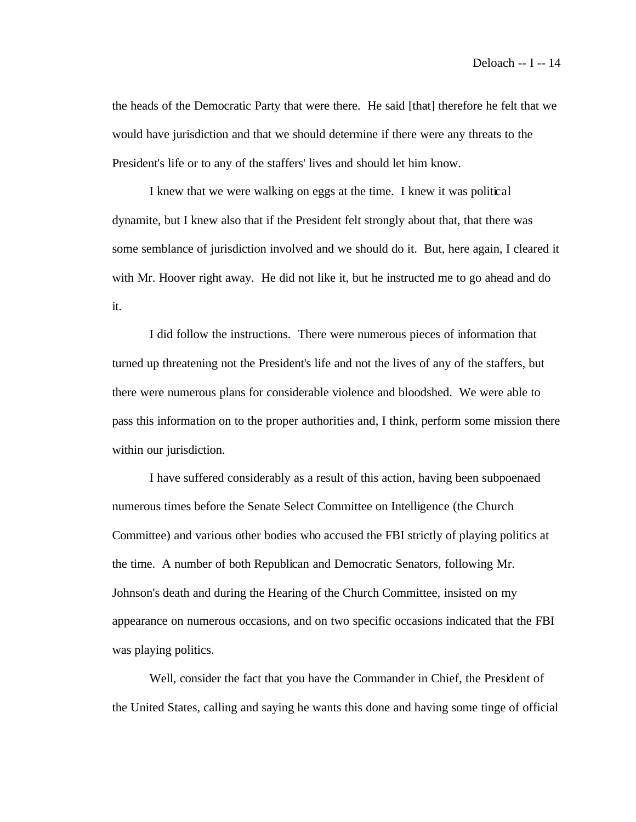the heads of the Democratic Party that were there. He said [that] therefore he felt that we would have jurisdiction and that we should determine if there were any threats to the President's life or to any of the staffers' lives and should let him know.

I knew that we were walking on eggs at the time. I knew it was political dynamite, but I knew also that if the President felt strongly about that, that there was some semblance of jurisdiction involved and we should do it. But, here again, I cleared it with Mr. Hoover right away. He did not like it, but he instructed me to go ahead and do it.

I did follow the instructions. There were numerous pieces of information that turned up threatening not the President's life and not the lives of any of the staffers, but there were numerous plans for considerable violence and bloodshed. We were able to pass this information on to the proper authorities and, I think, perform some mission there within our jurisdiction.

I have suffered considerably as a result of this action, having been subpoenaed numerous times before the Senate Select Committee on Intelligence (the Church Committee) and various other bodies who accused the FBI strictly of playing politics at the time. A number of both Republican and Democratic Senators, following Mr. Johnson's death and during the Hearing of the Church Committee, insisted on my appearance on numerous occasions, and on two specific occasions indicated that the FBI was playing politics.

Well, consider the fact that you have the Commander in Chief, the President of the United States, calling and saying he wants this done and having some tinge of official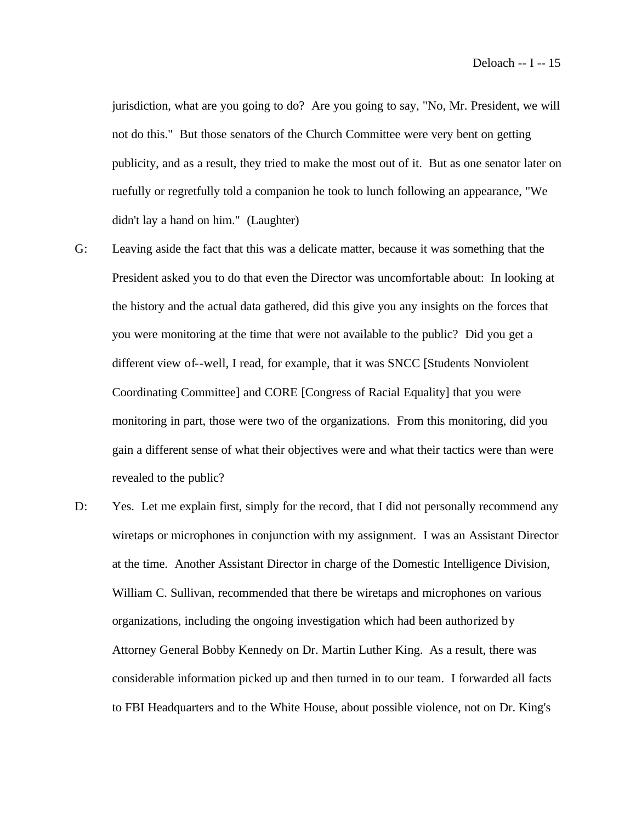jurisdiction, what are you going to do? Are you going to say, "No, Mr. President, we will not do this." But those senators of the Church Committee were very bent on getting publicity, and as a result, they tried to make the most out of it. But as one senator later on ruefully or regretfully told a companion he took to lunch following an appearance, "We didn't lay a hand on him." (Laughter)

- G: Leaving aside the fact that this was a delicate matter, because it was something that the President asked you to do that even the Director was uncomfortable about: In looking at the history and the actual data gathered, did this give you any insights on the forces that you were monitoring at the time that were not available to the public? Did you get a different view of--well, I read, for example, that it was SNCC [Students Nonviolent Coordinating Committee] and CORE [Congress of Racial Equality] that you were monitoring in part, those were two of the organizations. From this monitoring, did you gain a different sense of what their objectives were and what their tactics were than were revealed to the public?
- D: Yes. Let me explain first, simply for the record, that I did not personally recommend any wiretaps or microphones in conjunction with my assignment. I was an Assistant Director at the time. Another Assistant Director in charge of the Domestic Intelligence Division, William C. Sullivan, recommended that there be wiretaps and microphones on various organizations, including the ongoing investigation which had been authorized by Attorney General Bobby Kennedy on Dr. Martin Luther King. As a result, there was considerable information picked up and then turned in to our team. I forwarded all facts to FBI Headquarters and to the White House, about possible violence, not on Dr. King's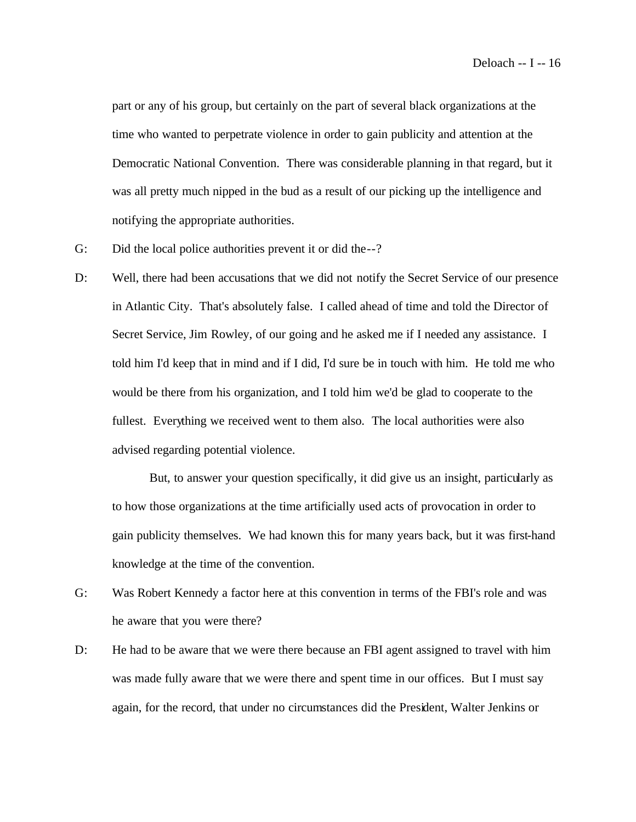part or any of his group, but certainly on the part of several black organizations at the time who wanted to perpetrate violence in order to gain publicity and attention at the Democratic National Convention. There was considerable planning in that regard, but it was all pretty much nipped in the bud as a result of our picking up the intelligence and notifying the appropriate authorities.

- G: Did the local police authorities prevent it or did the--?
- D: Well, there had been accusations that we did not notify the Secret Service of our presence in Atlantic City. That's absolutely false. I called ahead of time and told the Director of Secret Service, Jim Rowley, of our going and he asked me if I needed any assistance. I told him I'd keep that in mind and if I did, I'd sure be in touch with him. He told me who would be there from his organization, and I told him we'd be glad to cooperate to the fullest. Everything we received went to them also. The local authorities were also advised regarding potential violence.

But, to answer your question specifically, it did give us an insight, particularly as to how those organizations at the time artificially used acts of provocation in order to gain publicity themselves. We had known this for many years back, but it was first-hand knowledge at the time of the convention.

- G: Was Robert Kennedy a factor here at this convention in terms of the FBI's role and was he aware that you were there?
- D: He had to be aware that we were there because an FBI agent assigned to travel with him was made fully aware that we were there and spent time in our offices. But I must say again, for the record, that under no circumstances did the President, Walter Jenkins or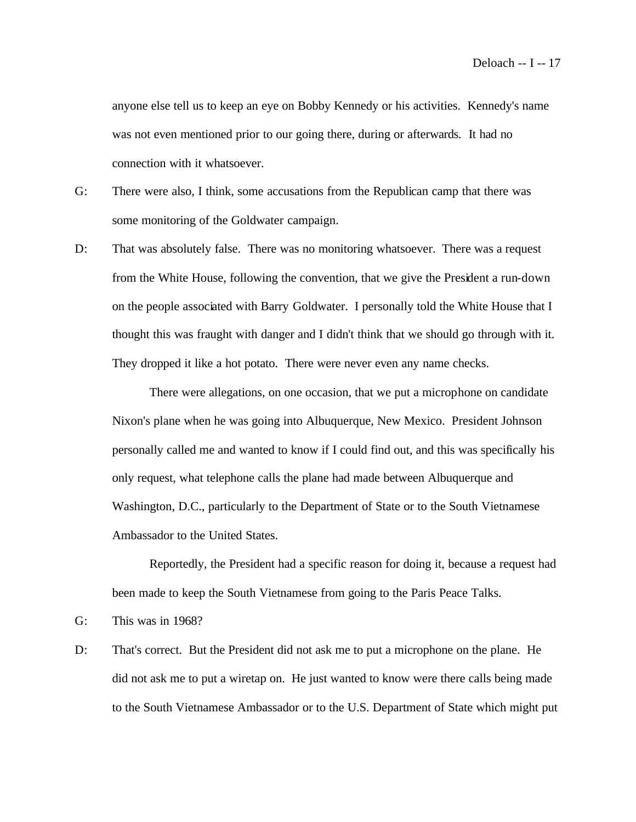anyone else tell us to keep an eye on Bobby Kennedy or his activities. Kennedy's name was not even mentioned prior to our going there, during or afterwards. It had no connection with it whatsoever.

- G: There were also, I think, some accusations from the Republican camp that there was some monitoring of the Goldwater campaign.
- D: That was absolutely false. There was no monitoring whatsoever. There was a request from the White House, following the convention, that we give the President a run-down on the people associated with Barry Goldwater. I personally told the White House that I thought this was fraught with danger and I didn't think that we should go through with it. They dropped it like a hot potato. There were never even any name checks.

There were allegations, on one occasion, that we put a microphone on candidate Nixon's plane when he was going into Albuquerque, New Mexico. President Johnson personally called me and wanted to know if I could find out, and this was specifically his only request, what telephone calls the plane had made between Albuquerque and Washington, D.C., particularly to the Department of State or to the South Vietnamese Ambassador to the United States.

Reportedly, the President had a specific reason for doing it, because a request had been made to keep the South Vietnamese from going to the Paris Peace Talks.

- G: This was in 1968?
- D: That's correct. But the President did not ask me to put a microphone on the plane. He did not ask me to put a wiretap on. He just wanted to know were there calls being made to the South Vietnamese Ambassador or to the U.S. Department of State which might put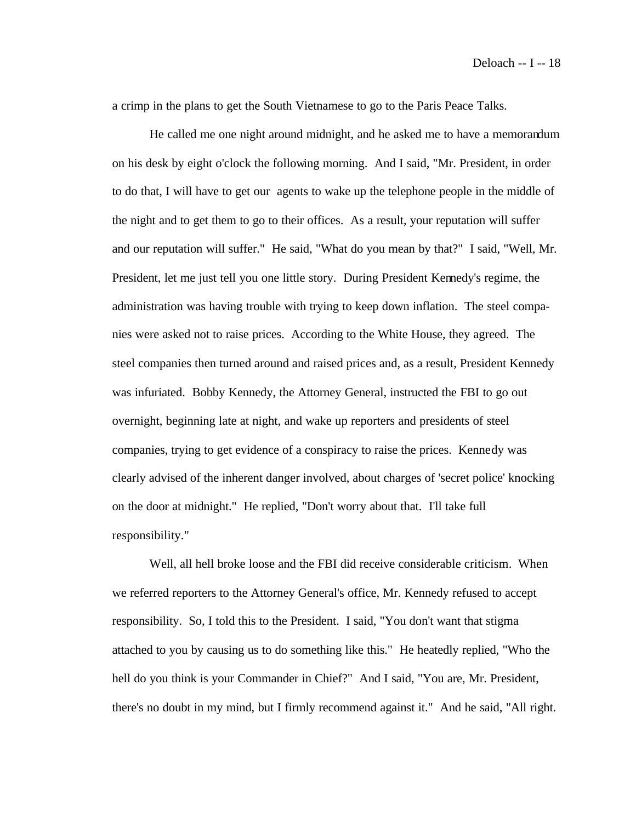a crimp in the plans to get the South Vietnamese to go to the Paris Peace Talks.

He called me one night around midnight, and he asked me to have a memorandum on his desk by eight o'clock the following morning. And I said, "Mr. President, in order to do that, I will have to get our agents to wake up the telephone people in the middle of the night and to get them to go to their offices. As a result, your reputation will suffer and our reputation will suffer." He said, "What do you mean by that?" I said, "Well, Mr. President, let me just tell you one little story. During President Kennedy's regime, the administration was having trouble with trying to keep down inflation. The steel companies were asked not to raise prices. According to the White House, they agreed. The steel companies then turned around and raised prices and, as a result, President Kennedy was infuriated. Bobby Kennedy, the Attorney General, instructed the FBI to go out overnight, beginning late at night, and wake up reporters and presidents of steel companies, trying to get evidence of a conspiracy to raise the prices. Kennedy was clearly advised of the inherent danger involved, about charges of 'secret police' knocking on the door at midnight." He replied, "Don't worry about that. I'll take full responsibility."

Well, all hell broke loose and the FBI did receive considerable criticism. When we referred reporters to the Attorney General's office, Mr. Kennedy refused to accept responsibility. So, I told this to the President. I said, "You don't want that stigma attached to you by causing us to do something like this." He heatedly replied, "Who the hell do you think is your Commander in Chief?" And I said, "You are, Mr. President, there's no doubt in my mind, but I firmly recommend against it." And he said, "All right.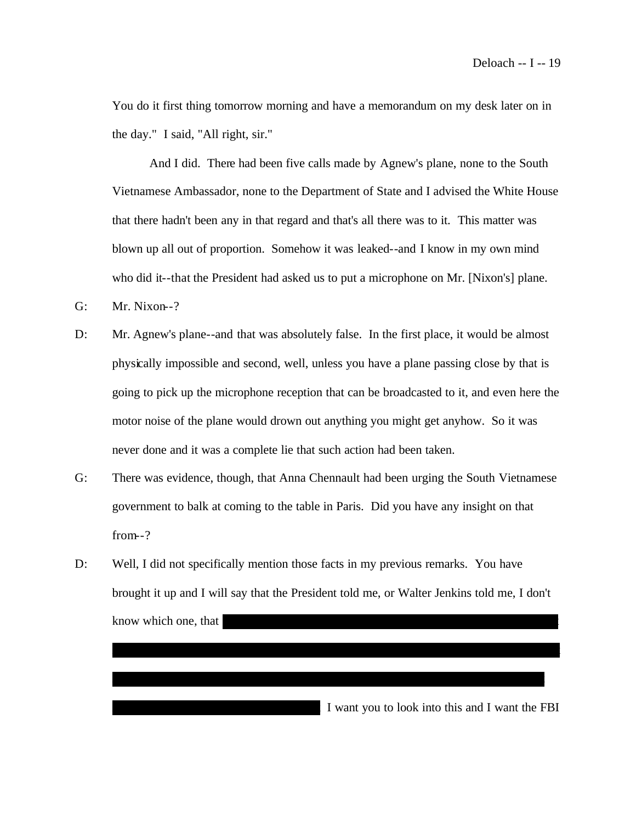You do it first thing tomorrow morning and have a memorandum on my desk later on in the day." I said, "All right, sir."

And I did. There had been five calls made by Agnew's plane, none to the South Vietnamese Ambassador, none to the Department of State and I advised the White House that there hadn't been any in that regard and that's all there was to it. This matter was blown up all out of proportion. Somehow it was leaked--and I know in my own mind who did it--that the President had asked us to put a microphone on Mr. [Nixon's] plane.

G: Mr. Nixon--?

- D: Mr. Agnew's plane--and that was absolutely false. In the first place, it would be almost physically impossible and second, well, unless you have a plane passing close by that is going to pick up the microphone reception that can be broadcasted to it, and even here the motor noise of the plane would drown out anything you might get anyhow. So it was never done and it was a complete lie that such action had been taken.
- G: There was evidence, though, that Anna Chennault had been urging the South Vietnamese government to balk at coming to the table in Paris. Did you have any insight on that from--?
- D: Well, I did not specifically mention those facts in my previous remarks. You have brought it up and I will say that the President told me, or Walter Jenkins told me, I don't know which one, that

xxxxxx xx xxx xxxx xxx xxxxx xxxxx xxxx xxxx xxxxx xxx xxxxxx xxxxxxx xxxx

x xxxxxxx xxxxxx xxx. xxxxxx xxxx xxxxxxxxxx xxxxxx xxxxxx xxxxxxxxx xxxxxx

 $\overline{\phantom{a}}$  I want you to look into this and I want the FBI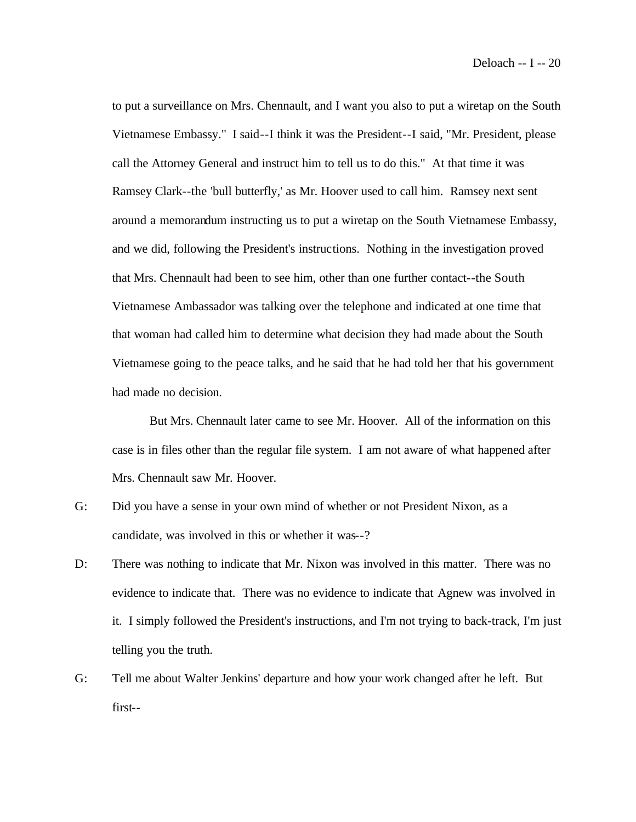to put a surveillance on Mrs. Chennault, and I want you also to put a wiretap on the South Vietnamese Embassy." I said--I think it was the President--I said, "Mr. President, please call the Attorney General and instruct him to tell us to do this." At that time it was Ramsey Clark--the 'bull butterfly,' as Mr. Hoover used to call him. Ramsey next sent around a memorandum instructing us to put a wiretap on the South Vietnamese Embassy, and we did, following the President's instructions. Nothing in the investigation proved that Mrs. Chennault had been to see him, other than one further contact--the South Vietnamese Ambassador was talking over the telephone and indicated at one time that that woman had called him to determine what decision they had made about the South Vietnamese going to the peace talks, and he said that he had told her that his government had made no decision.

But Mrs. Chennault later came to see Mr. Hoover. All of the information on this case is in files other than the regular file system. I am not aware of what happened after Mrs. Chennault saw Mr. Hoover.

- G: Did you have a sense in your own mind of whether or not President Nixon, as a candidate, was involved in this or whether it was--?
- D: There was nothing to indicate that Mr. Nixon was involved in this matter. There was no evidence to indicate that. There was no evidence to indicate that Agnew was involved in it. I simply followed the President's instructions, and I'm not trying to back-track, I'm just telling you the truth.
- G: Tell me about Walter Jenkins' departure and how your work changed after he left. But first--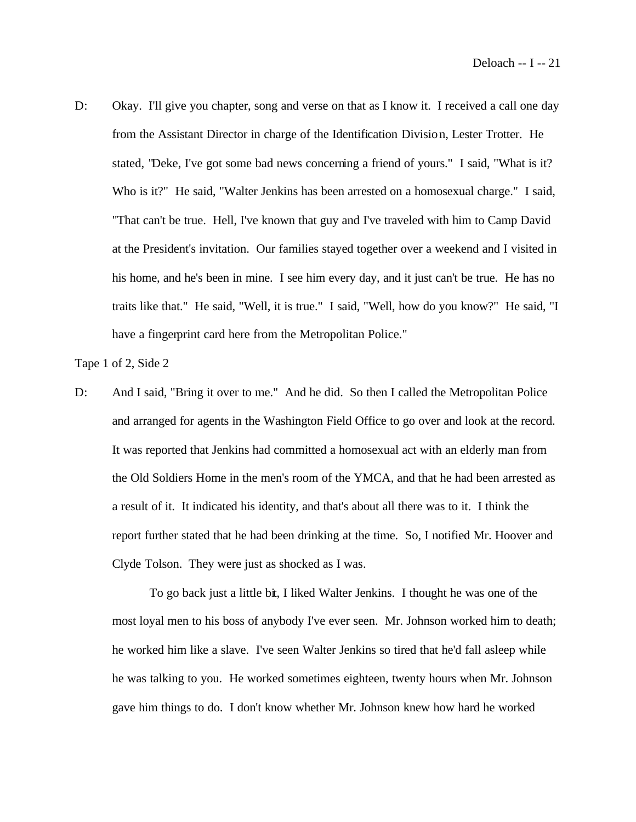D: Okay. I'll give you chapter, song and verse on that as I know it. I received a call one day from the Assistant Director in charge of the Identification Division, Lester Trotter. He stated, "Deke, I've got some bad news concerning a friend of yours." I said, "What is it? Who is it?" He said, "Walter Jenkins has been arrested on a homosexual charge." I said, "That can't be true. Hell, I've known that guy and I've traveled with him to Camp David at the President's invitation. Our families stayed together over a weekend and I visited in his home, and he's been in mine. I see him every day, and it just can't be true. He has no traits like that." He said, "Well, it is true." I said, "Well, how do you know?" He said, "I have a fingerprint card here from the Metropolitan Police."

Tape 1 of 2, Side 2

D: And I said, "Bring it over to me." And he did. So then I called the Metropolitan Police and arranged for agents in the Washington Field Office to go over and look at the record. It was reported that Jenkins had committed a homosexual act with an elderly man from the Old Soldiers Home in the men's room of the YMCA, and that he had been arrested as a result of it. It indicated his identity, and that's about all there was to it. I think the report further stated that he had been drinking at the time. So, I notified Mr. Hoover and Clyde Tolson. They were just as shocked as I was.

To go back just a little bit, I liked Walter Jenkins. I thought he was one of the most loyal men to his boss of anybody I've ever seen. Mr. Johnson worked him to death; he worked him like a slave. I've seen Walter Jenkins so tired that he'd fall asleep while he was talking to you. He worked sometimes eighteen, twenty hours when Mr. Johnson gave him things to do. I don't know whether Mr. Johnson knew how hard he worked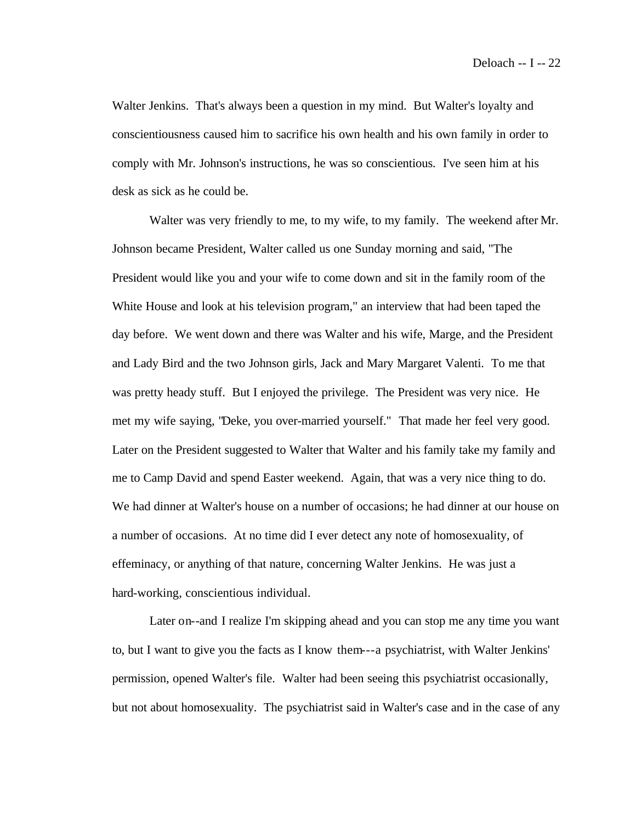Walter Jenkins. That's always been a question in my mind. But Walter's loyalty and conscientiousness caused him to sacrifice his own health and his own family in order to comply with Mr. Johnson's instructions, he was so conscientious. I've seen him at his desk as sick as he could be.

Walter was very friendly to me, to my wife, to my family. The weekend after Mr. Johnson became President, Walter called us one Sunday morning and said, "The President would like you and your wife to come down and sit in the family room of the White House and look at his television program," an interview that had been taped the day before. We went down and there was Walter and his wife, Marge, and the President and Lady Bird and the two Johnson girls, Jack and Mary Margaret Valenti. To me that was pretty heady stuff. But I enjoyed the privilege. The President was very nice. He met my wife saying, "Deke, you over-married yourself." That made her feel very good. Later on the President suggested to Walter that Walter and his family take my family and me to Camp David and spend Easter weekend. Again, that was a very nice thing to do. We had dinner at Walter's house on a number of occasions; he had dinner at our house on a number of occasions. At no time did I ever detect any note of homosexuality, of effeminacy, or anything of that nature, concerning Walter Jenkins. He was just a hard-working, conscientious individual.

Later on--and I realize I'm skipping ahead and you can stop me any time you want to, but I want to give you the facts as I know them---a psychiatrist, with Walter Jenkins' permission, opened Walter's file. Walter had been seeing this psychiatrist occasionally, but not about homosexuality. The psychiatrist said in Walter's case and in the case of any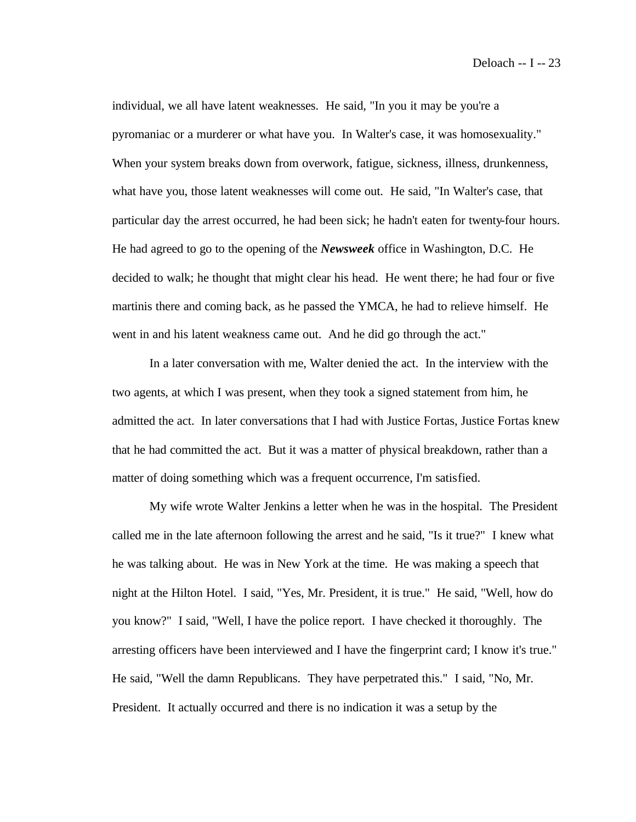individual, we all have latent weaknesses. He said, "In you it may be you're a pyromaniac or a murderer or what have you. In Walter's case, it was homosexuality." When your system breaks down from overwork, fatigue, sickness, illness, drunkenness, what have you, those latent weaknesses will come out. He said, "In Walter's case, that particular day the arrest occurred, he had been sick; he hadn't eaten for twenty-four hours. He had agreed to go to the opening of the *Newsweek* office in Washington, D.C. He decided to walk; he thought that might clear his head. He went there; he had four or five martinis there and coming back, as he passed the YMCA, he had to relieve himself. He went in and his latent weakness came out. And he did go through the act."

In a later conversation with me, Walter denied the act. In the interview with the two agents, at which I was present, when they took a signed statement from him, he admitted the act. In later conversations that I had with Justice Fortas, Justice Fortas knew that he had committed the act. But it was a matter of physical breakdown, rather than a matter of doing something which was a frequent occurrence, I'm satisfied.

My wife wrote Walter Jenkins a letter when he was in the hospital. The President called me in the late afternoon following the arrest and he said, "Is it true?" I knew what he was talking about. He was in New York at the time. He was making a speech that night at the Hilton Hotel. I said, "Yes, Mr. President, it is true." He said, "Well, how do you know?" I said, "Well, I have the police report. I have checked it thoroughly. The arresting officers have been interviewed and I have the fingerprint card; I know it's true." He said, "Well the damn Republicans. They have perpetrated this." I said, "No, Mr. President. It actually occurred and there is no indication it was a setup by the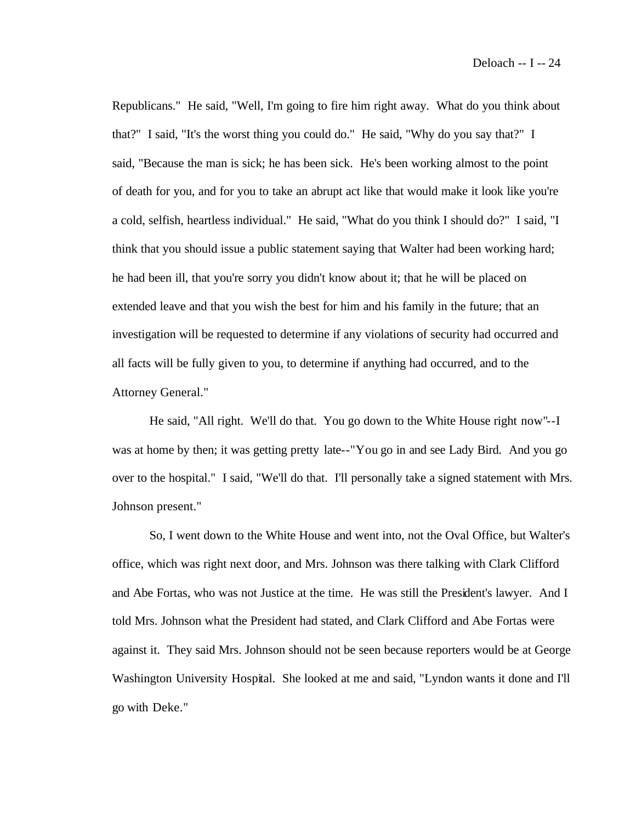Republicans." He said, "Well, I'm going to fire him right away. What do you think about that?" I said, "It's the worst thing you could do." He said, "Why do you say that?" I said, "Because the man is sick; he has been sick. He's been working almost to the point of death for you, and for you to take an abrupt act like that would make it look like you're a cold, selfish, heartless individual." He said, "What do you think I should do?" I said, "I think that you should issue a public statement saying that Walter had been working hard; he had been ill, that you're sorry you didn't know about it; that he will be placed on extended leave and that you wish the best for him and his family in the future; that an investigation will be requested to determine if any violations of security had occurred and all facts will be fully given to you, to determine if anything had occurred, and to the Attorney General."

He said, "All right. We'll do that. You go down to the White House right now"--I was at home by then; it was getting pretty late--"You go in and see Lady Bird. And you go over to the hospital." I said, "We'll do that. I'll personally take a signed statement with Mrs. Johnson present."

So, I went down to the White House and went into, not the Oval Office, but Walter's office, which was right next door, and Mrs. Johnson was there talking with Clark Clifford and Abe Fortas, who was not Justice at the time. He was still the President's lawyer. And I told Mrs. Johnson what the President had stated, and Clark Clifford and Abe Fortas were against it. They said Mrs. Johnson should not be seen because reporters would be at George Washington University Hospital. She looked at me and said, "Lyndon wants it done and I'll go with Deke."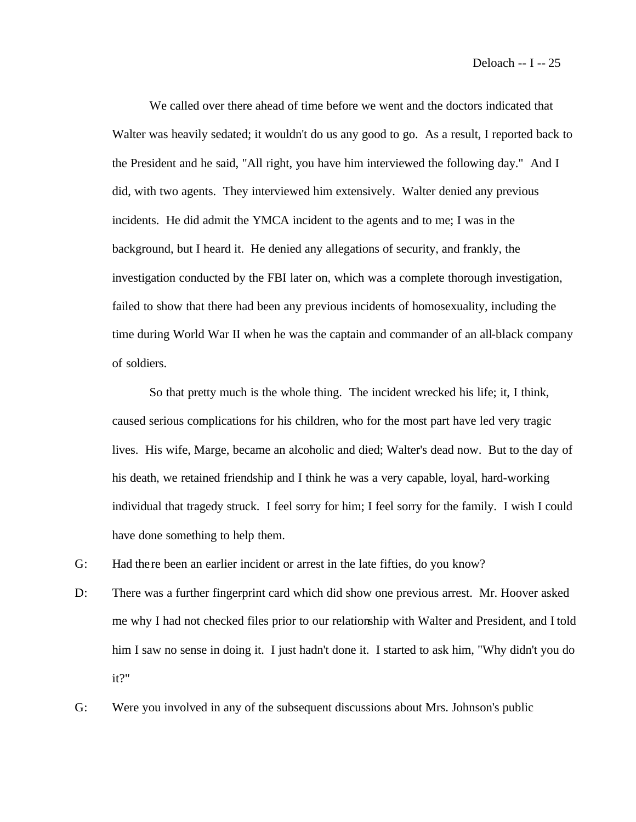We called over there ahead of time before we went and the doctors indicated that Walter was heavily sedated; it wouldn't do us any good to go. As a result, I reported back to the President and he said, "All right, you have him interviewed the following day." And I did, with two agents. They interviewed him extensively. Walter denied any previous incidents. He did admit the YMCA incident to the agents and to me; I was in the background, but I heard it. He denied any allegations of security, and frankly, the investigation conducted by the FBI later on, which was a complete thorough investigation, failed to show that there had been any previous incidents of homosexuality, including the time during World War II when he was the captain and commander of an all-black company of soldiers.

So that pretty much is the whole thing. The incident wrecked his life; it, I think, caused serious complications for his children, who for the most part have led very tragic lives. His wife, Marge, became an alcoholic and died; Walter's dead now. But to the day of his death, we retained friendship and I think he was a very capable, loyal, hard-working individual that tragedy struck. I feel sorry for him; I feel sorry for the family. I wish I could have done something to help them.

- G: Had there been an earlier incident or arrest in the late fifties, do you know?
- D: There was a further fingerprint card which did show one previous arrest. Mr. Hoover asked me why I had not checked files prior to our relationship with Walter and President, and I told him I saw no sense in doing it. I just hadn't done it. I started to ask him, "Why didn't you do it?"
- G: Were you involved in any of the subsequent discussions about Mrs. Johnson's public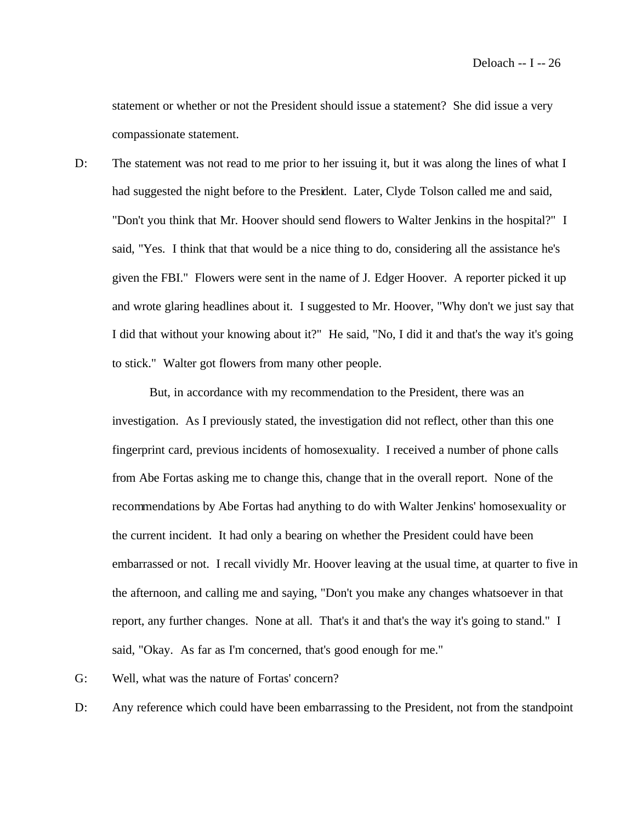statement or whether or not the President should issue a statement? She did issue a very compassionate statement.

D: The statement was not read to me prior to her issuing it, but it was along the lines of what I had suggested the night before to the President. Later, Clyde Tolson called me and said, "Don't you think that Mr. Hoover should send flowers to Walter Jenkins in the hospital?" I said, "Yes. I think that that would be a nice thing to do, considering all the assistance he's given the FBI." Flowers were sent in the name of J. Edger Hoover. A reporter picked it up and wrote glaring headlines about it. I suggested to Mr. Hoover, "Why don't we just say that I did that without your knowing about it?" He said, "No, I did it and that's the way it's going to stick." Walter got flowers from many other people.

But, in accordance with my recommendation to the President, there was an investigation. As I previously stated, the investigation did not reflect, other than this one fingerprint card, previous incidents of homosexuality. I received a number of phone calls from Abe Fortas asking me to change this, change that in the overall report. None of the recommendations by Abe Fortas had anything to do with Walter Jenkins' homosexuality or the current incident. It had only a bearing on whether the President could have been embarrassed or not. I recall vividly Mr. Hoover leaving at the usual time, at quarter to five in the afternoon, and calling me and saying, "Don't you make any changes whatsoever in that report, any further changes. None at all. That's it and that's the way it's going to stand." I said, "Okay. As far as I'm concerned, that's good enough for me."

- G: Well, what was the nature of Fortas' concern?
- D: Any reference which could have been embarrassing to the President, not from the standpoint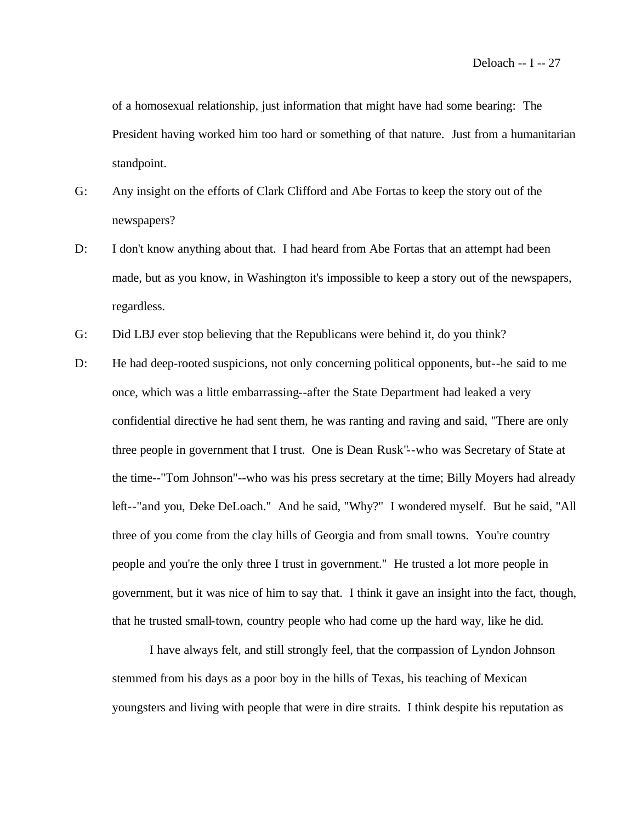of a homosexual relationship, just information that might have had some bearing: The President having worked him too hard or something of that nature. Just from a humanitarian standpoint.

- G: Any insight on the efforts of Clark Clifford and Abe Fortas to keep the story out of the newspapers?
- D: I don't know anything about that. I had heard from Abe Fortas that an attempt had been made, but as you know, in Washington it's impossible to keep a story out of the newspapers, regardless.
- G: Did LBJ ever stop believing that the Republicans were behind it, do you think?
- D: He had deep-rooted suspicions, not only concerning political opponents, but--he said to me once, which was a little embarrassing--after the State Department had leaked a very confidential directive he had sent them, he was ranting and raving and said, "There are only three people in government that I trust. One is Dean Rusk"--who was Secretary of State at the time--"Tom Johnson"--who was his press secretary at the time; Billy Moyers had already left--"and you, Deke DeLoach." And he said, "Why?" I wondered myself. But he said, "All three of you come from the clay hills of Georgia and from small towns. You're country people and you're the only three I trust in government." He trusted a lot more people in government, but it was nice of him to say that. I think it gave an insight into the fact, though, that he trusted small-town, country people who had come up the hard way, like he did.

I have always felt, and still strongly feel, that the compassion of Lyndon Johnson stemmed from his days as a poor boy in the hills of Texas, his teaching of Mexican youngsters and living with people that were in dire straits. I think despite his reputation as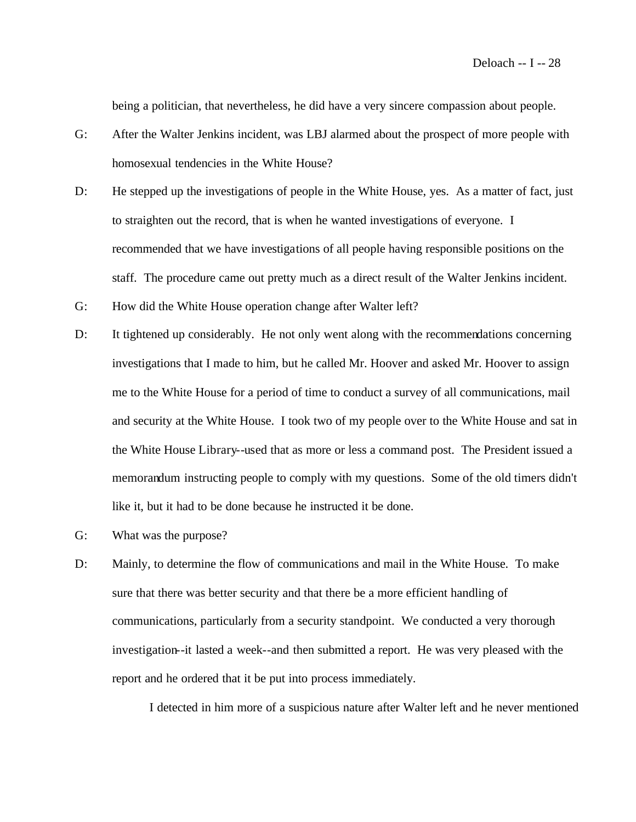being a politician, that nevertheless, he did have a very sincere compassion about people.

- G: After the Walter Jenkins incident, was LBJ alarmed about the prospect of more people with homosexual tendencies in the White House?
- D: He stepped up the investigations of people in the White House, yes. As a matter of fact, just to straighten out the record, that is when he wanted investigations of everyone. I recommended that we have investigations of all people having responsible positions on the staff. The procedure came out pretty much as a direct result of the Walter Jenkins incident.
- G: How did the White House operation change after Walter left?
- D: It tightened up considerably. He not only went along with the recommendations concerning investigations that I made to him, but he called Mr. Hoover and asked Mr. Hoover to assign me to the White House for a period of time to conduct a survey of all communications, mail and security at the White House. I took two of my people over to the White House and sat in the White House Library--used that as more or less a command post. The President issued a memorandum instructing people to comply with my questions. Some of the old timers didn't like it, but it had to be done because he instructed it be done.
- G: What was the purpose?
- D: Mainly, to determine the flow of communications and mail in the White House. To make sure that there was better security and that there be a more efficient handling of communications, particularly from a security standpoint. We conducted a very thorough investigation--it lasted a week--and then submitted a report. He was very pleased with the report and he ordered that it be put into process immediately.

I detected in him more of a suspicious nature after Walter left and he never mentioned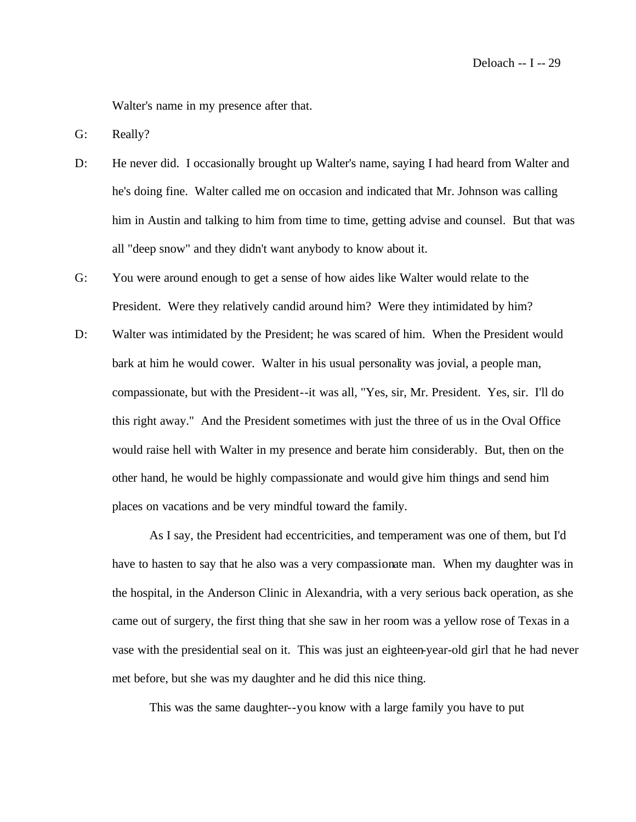Walter's name in my presence after that.

G: Really?

- D: He never did. I occasionally brought up Walter's name, saying I had heard from Walter and he's doing fine. Walter called me on occasion and indicated that Mr. Johnson was calling him in Austin and talking to him from time to time, getting advise and counsel. But that was all "deep snow" and they didn't want anybody to know about it.
- G: You were around enough to get a sense of how aides like Walter would relate to the President. Were they relatively candid around him? Were they intimidated by him?
- D: Walter was intimidated by the President; he was scared of him. When the President would bark at him he would cower. Walter in his usual personality was jovial, a people man, compassionate, but with the President--it was all, "Yes, sir, Mr. President. Yes, sir. I'll do this right away." And the President sometimes with just the three of us in the Oval Office would raise hell with Walter in my presence and berate him considerably. But, then on the other hand, he would be highly compassionate and would give him things and send him places on vacations and be very mindful toward the family.

As I say, the President had eccentricities, and temperament was one of them, but I'd have to hasten to say that he also was a very compassionate man. When my daughter was in the hospital, in the Anderson Clinic in Alexandria, with a very serious back operation, as she came out of surgery, the first thing that she saw in her room was a yellow rose of Texas in a vase with the presidential seal on it. This was just an eighteen-year-old girl that he had never met before, but she was my daughter and he did this nice thing.

This was the same daughter--you know with a large family you have to put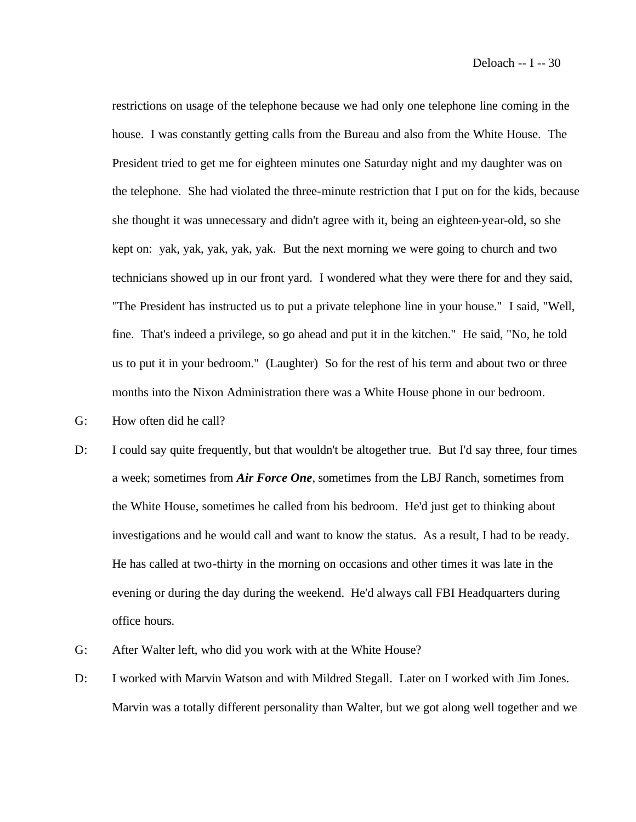restrictions on usage of the telephone because we had only one telephone line coming in the house. I was constantly getting calls from the Bureau and also from the White House. The President tried to get me for eighteen minutes one Saturday night and my daughter was on the telephone. She had violated the three-minute restriction that I put on for the kids, because she thought it was unnecessary and didn't agree with it, being an eighteen-year-old, so she kept on: yak, yak, yak, yak, yak. But the next morning we were going to church and two technicians showed up in our front yard. I wondered what they were there for and they said, "The President has instructed us to put a private telephone line in your house." I said, "Well, fine. That's indeed a privilege, so go ahead and put it in the kitchen." He said, "No, he told us to put it in your bedroom." (Laughter) So for the rest of his term and about two or three months into the Nixon Administration there was a White House phone in our bedroom.

- G: How often did he call?
- D: I could say quite frequently, but that wouldn't be altogether true. But I'd say three, four times a week; sometimes from *Air Force One*, sometimes from the LBJ Ranch, sometimes from the White House, sometimes he called from his bedroom. He'd just get to thinking about investigations and he would call and want to know the status. As a result, I had to be ready. He has called at two-thirty in the morning on occasions and other times it was late in the evening or during the day during the weekend. He'd always call FBI Headquarters during office hours.
- G: After Walter left, who did you work with at the White House?
- D: I worked with Marvin Watson and with Mildred Stegall. Later on I worked with Jim Jones. Marvin was a totally different personality than Walter, but we got along well together and we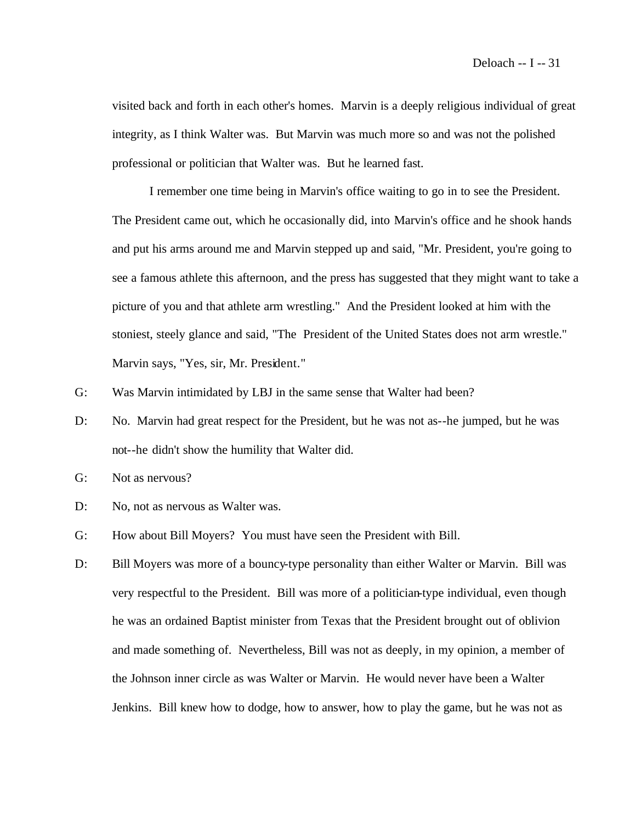visited back and forth in each other's homes. Marvin is a deeply religious individual of great integrity, as I think Walter was. But Marvin was much more so and was not the polished professional or politician that Walter was. But he learned fast.

I remember one time being in Marvin's office waiting to go in to see the President. The President came out, which he occasionally did, into Marvin's office and he shook hands and put his arms around me and Marvin stepped up and said, "Mr. President, you're going to see a famous athlete this afternoon, and the press has suggested that they might want to take a picture of you and that athlete arm wrestling." And the President looked at him with the stoniest, steely glance and said, "The President of the United States does not arm wrestle." Marvin says, "Yes, sir, Mr. President."

- G: Was Marvin intimidated by LBJ in the same sense that Walter had been?
- D: No. Marvin had great respect for the President, but he was not as--he jumped, but he was not--he didn't show the humility that Walter did.
- G: Not as nervous?
- D: No, not as nervous as Walter was.
- G: How about Bill Moyers? You must have seen the President with Bill.
- D: Bill Moyers was more of a bouncy-type personality than either Walter or Marvin. Bill was very respectful to the President. Bill was more of a politician-type individual, even though he was an ordained Baptist minister from Texas that the President brought out of oblivion and made something of. Nevertheless, Bill was not as deeply, in my opinion, a member of the Johnson inner circle as was Walter or Marvin. He would never have been a Walter Jenkins. Bill knew how to dodge, how to answer, how to play the game, but he was not as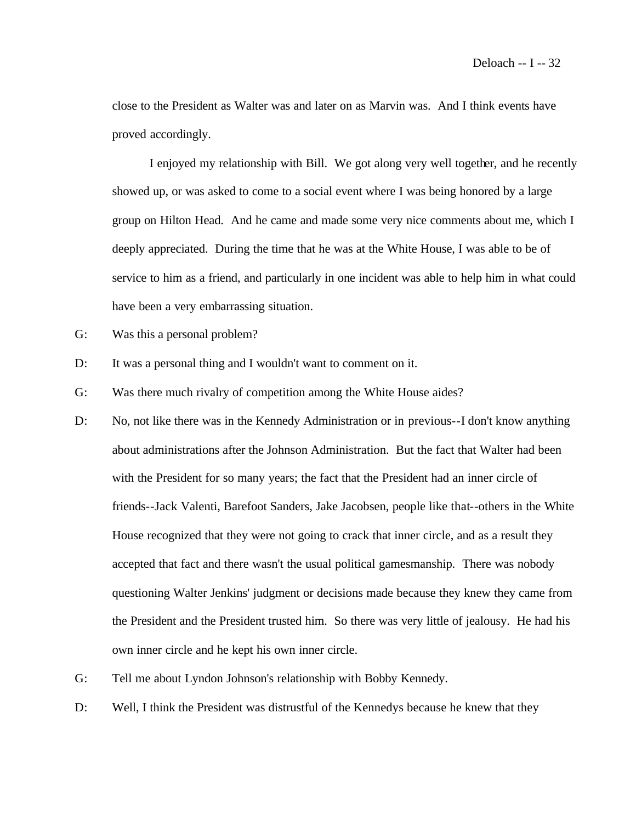close to the President as Walter was and later on as Marvin was. And I think events have proved accordingly.

I enjoyed my relationship with Bill. We got along very well together, and he recently showed up, or was asked to come to a social event where I was being honored by a large group on Hilton Head. And he came and made some very nice comments about me, which I deeply appreciated. During the time that he was at the White House, I was able to be of service to him as a friend, and particularly in one incident was able to help him in what could have been a very embarrassing situation.

- G: Was this a personal problem?
- D: It was a personal thing and I wouldn't want to comment on it.

G: Was there much rivalry of competition among the White House aides?

- D: No, not like there was in the Kennedy Administration or in previous--I don't know anything about administrations after the Johnson Administration. But the fact that Walter had been with the President for so many years; the fact that the President had an inner circle of friends--Jack Valenti, Barefoot Sanders, Jake Jacobsen, people like that--others in the White House recognized that they were not going to crack that inner circle, and as a result they accepted that fact and there wasn't the usual political gamesmanship. There was nobody questioning Walter Jenkins' judgment or decisions made because they knew they came from the President and the President trusted him. So there was very little of jealousy. He had his own inner circle and he kept his own inner circle.
- G: Tell me about Lyndon Johnson's relationship with Bobby Kennedy.
- D: Well, I think the President was distrustful of the Kennedys because he knew that they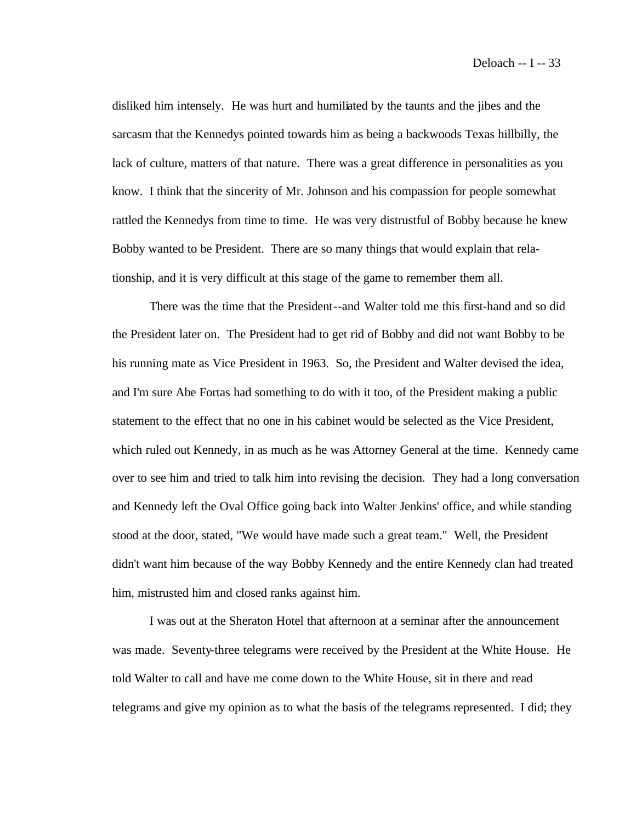disliked him intensely. He was hurt and humiliated by the taunts and the jibes and the sarcasm that the Kennedys pointed towards him as being a backwoods Texas hillbilly, the lack of culture, matters of that nature. There was a great difference in personalities as you know. I think that the sincerity of Mr. Johnson and his compassion for people somewhat rattled the Kennedys from time to time. He was very distrustful of Bobby because he knew Bobby wanted to be President. There are so many things that would explain that relationship, and it is very difficult at this stage of the game to remember them all.

There was the time that the President--and Walter told me this first-hand and so did the President later on. The President had to get rid of Bobby and did not want Bobby to be his running mate as Vice President in 1963. So, the President and Walter devised the idea, and I'm sure Abe Fortas had something to do with it too, of the President making a public statement to the effect that no one in his cabinet would be selected as the Vice President, which ruled out Kennedy, in as much as he was Attorney General at the time. Kennedy came over to see him and tried to talk him into revising the decision. They had a long conversation and Kennedy left the Oval Office going back into Walter Jenkins' office, and while standing stood at the door, stated, "We would have made such a great team." Well, the President didn't want him because of the way Bobby Kennedy and the entire Kennedy clan had treated him, mistrusted him and closed ranks against him.

I was out at the Sheraton Hotel that afternoon at a seminar after the announcement was made. Seventy-three telegrams were received by the President at the White House. He told Walter to call and have me come down to the White House, sit in there and read telegrams and give my opinion as to what the basis of the telegrams represented. I did; they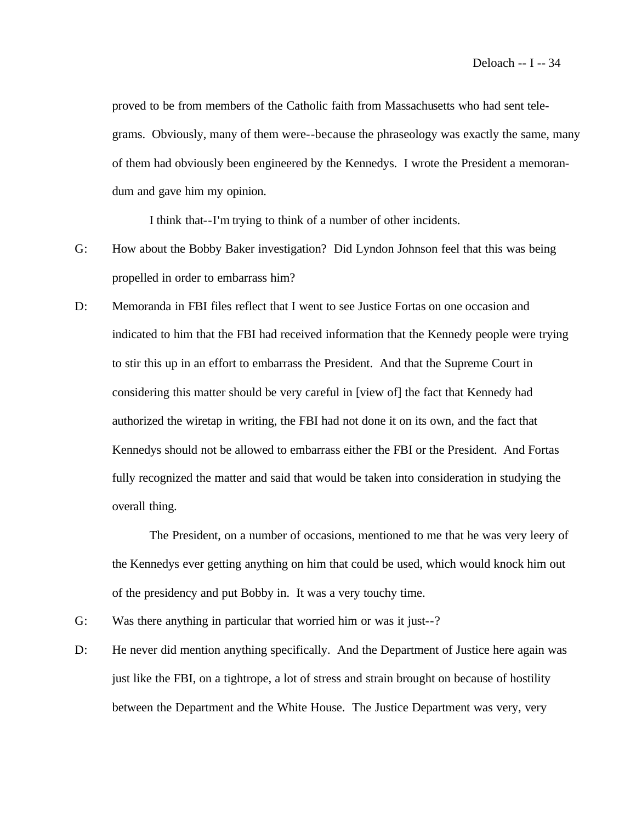proved to be from members of the Catholic faith from Massachusetts who had sent telegrams. Obviously, many of them were--because the phraseology was exactly the same, many of them had obviously been engineered by the Kennedys. I wrote the President a memorandum and gave him my opinion.

I think that--I'm trying to think of a number of other incidents.

- G: How about the Bobby Baker investigation? Did Lyndon Johnson feel that this was being propelled in order to embarrass him?
- D: Memoranda in FBI files reflect that I went to see Justice Fortas on one occasion and indicated to him that the FBI had received information that the Kennedy people were trying to stir this up in an effort to embarrass the President. And that the Supreme Court in considering this matter should be very careful in [view of] the fact that Kennedy had authorized the wiretap in writing, the FBI had not done it on its own, and the fact that Kennedys should not be allowed to embarrass either the FBI or the President. And Fortas fully recognized the matter and said that would be taken into consideration in studying the overall thing.

The President, on a number of occasions, mentioned to me that he was very leery of the Kennedys ever getting anything on him that could be used, which would knock him out of the presidency and put Bobby in. It was a very touchy time.

- G: Was there anything in particular that worried him or was it just--?
- D: He never did mention anything specifically. And the Department of Justice here again was just like the FBI, on a tightrope, a lot of stress and strain brought on because of hostility between the Department and the White House. The Justice Department was very, very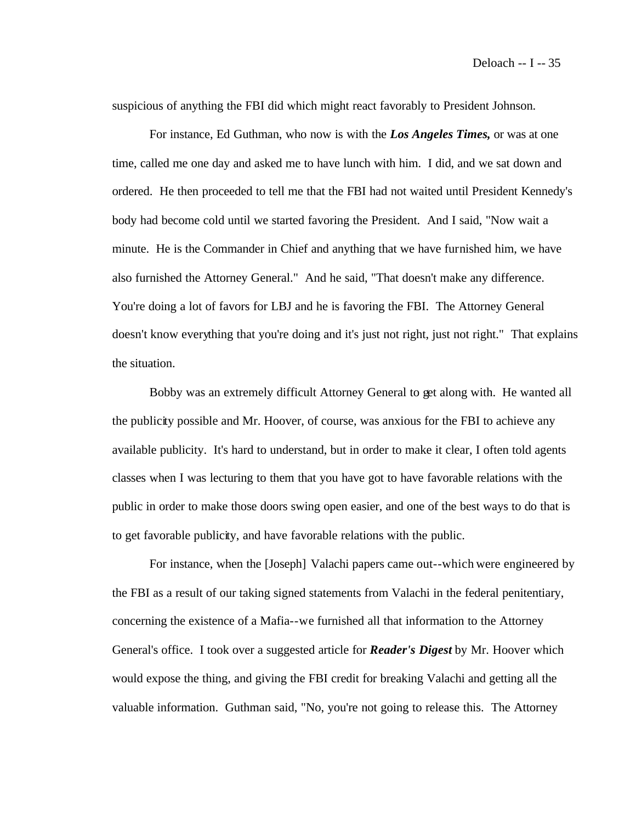suspicious of anything the FBI did which might react favorably to President Johnson.

For instance, Ed Guthman, who now is with the *Los Angeles Times,* or was at one time, called me one day and asked me to have lunch with him. I did, and we sat down and ordered. He then proceeded to tell me that the FBI had not waited until President Kennedy's body had become cold until we started favoring the President. And I said, "Now wait a minute. He is the Commander in Chief and anything that we have furnished him, we have also furnished the Attorney General." And he said, "That doesn't make any difference. You're doing a lot of favors for LBJ and he is favoring the FBI. The Attorney General doesn't know everything that you're doing and it's just not right, just not right." That explains the situation.

Bobby was an extremely difficult Attorney General to get along with. He wanted all the publicity possible and Mr. Hoover, of course, was anxious for the FBI to achieve any available publicity. It's hard to understand, but in order to make it clear, I often told agents classes when I was lecturing to them that you have got to have favorable relations with the public in order to make those doors swing open easier, and one of the best ways to do that is to get favorable publicity, and have favorable relations with the public.

For instance, when the [Joseph] Valachi papers came out--which were engineered by the FBI as a result of our taking signed statements from Valachi in the federal penitentiary, concerning the existence of a Mafia--we furnished all that information to the Attorney General's office. I took over a suggested article for *Reader's Digest* by Mr. Hoover which would expose the thing, and giving the FBI credit for breaking Valachi and getting all the valuable information. Guthman said, "No, you're not going to release this. The Attorney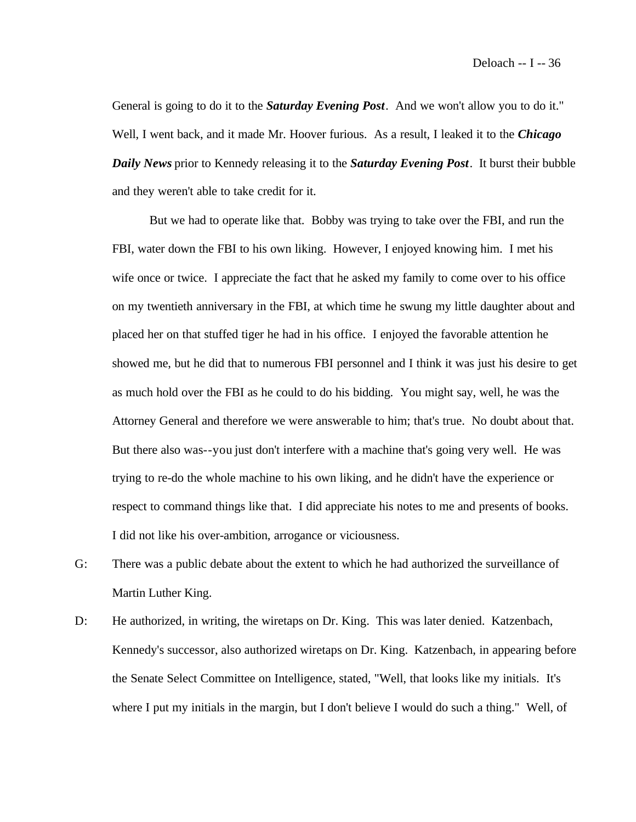General is going to do it to the *Saturday Evening Post*. And we won't allow you to do it." Well, I went back, and it made Mr. Hoover furious. As a result, I leaked it to the *Chicago Daily News* prior to Kennedy releasing it to the *Saturday Evening Post*. It burst their bubble and they weren't able to take credit for it.

But we had to operate like that. Bobby was trying to take over the FBI, and run the FBI, water down the FBI to his own liking. However, I enjoyed knowing him. I met his wife once or twice. I appreciate the fact that he asked my family to come over to his office on my twentieth anniversary in the FBI, at which time he swung my little daughter about and placed her on that stuffed tiger he had in his office. I enjoyed the favorable attention he showed me, but he did that to numerous FBI personnel and I think it was just his desire to get as much hold over the FBI as he could to do his bidding. You might say, well, he was the Attorney General and therefore we were answerable to him; that's true. No doubt about that. But there also was--you just don't interfere with a machine that's going very well. He was trying to re-do the whole machine to his own liking, and he didn't have the experience or respect to command things like that. I did appreciate his notes to me and presents of books. I did not like his over-ambition, arrogance or viciousness.

- G: There was a public debate about the extent to which he had authorized the surveillance of Martin Luther King.
- D: He authorized, in writing, the wiretaps on Dr. King. This was later denied. Katzenbach, Kennedy's successor, also authorized wiretaps on Dr. King. Katzenbach, in appearing before the Senate Select Committee on Intelligence, stated, "Well, that looks like my initials. It's where I put my initials in the margin, but I don't believe I would do such a thing." Well, of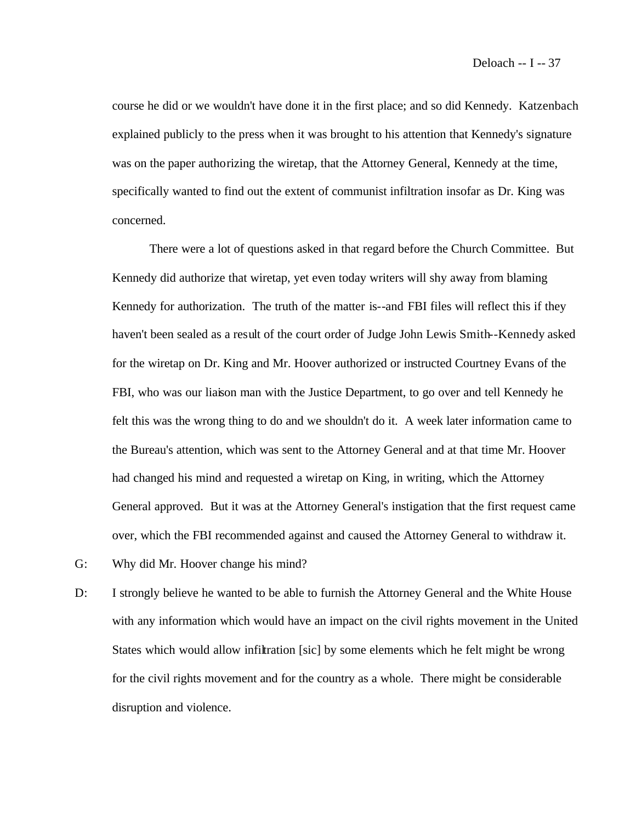course he did or we wouldn't have done it in the first place; and so did Kennedy. Katzenbach explained publicly to the press when it was brought to his attention that Kennedy's signature was on the paper authorizing the wiretap, that the Attorney General, Kennedy at the time, specifically wanted to find out the extent of communist infiltration insofar as Dr. King was concerned.

There were a lot of questions asked in that regard before the Church Committee. But Kennedy did authorize that wiretap, yet even today writers will shy away from blaming Kennedy for authorization. The truth of the matter is--and FBI files will reflect this if they haven't been sealed as a result of the court order of Judge John Lewis Smith--Kennedy asked for the wiretap on Dr. King and Mr. Hoover authorized or instructed Courtney Evans of the FBI, who was our liaison man with the Justice Department, to go over and tell Kennedy he felt this was the wrong thing to do and we shouldn't do it. A week later information came to the Bureau's attention, which was sent to the Attorney General and at that time Mr. Hoover had changed his mind and requested a wiretap on King, in writing, which the Attorney General approved. But it was at the Attorney General's instigation that the first request came over, which the FBI recommended against and caused the Attorney General to withdraw it.

- G: Why did Mr. Hoover change his mind?
- D: I strongly believe he wanted to be able to furnish the Attorney General and the White House with any information which would have an impact on the civil rights movement in the United States which would allow infiltration [sic] by some elements which he felt might be wrong for the civil rights movement and for the country as a whole. There might be considerable disruption and violence.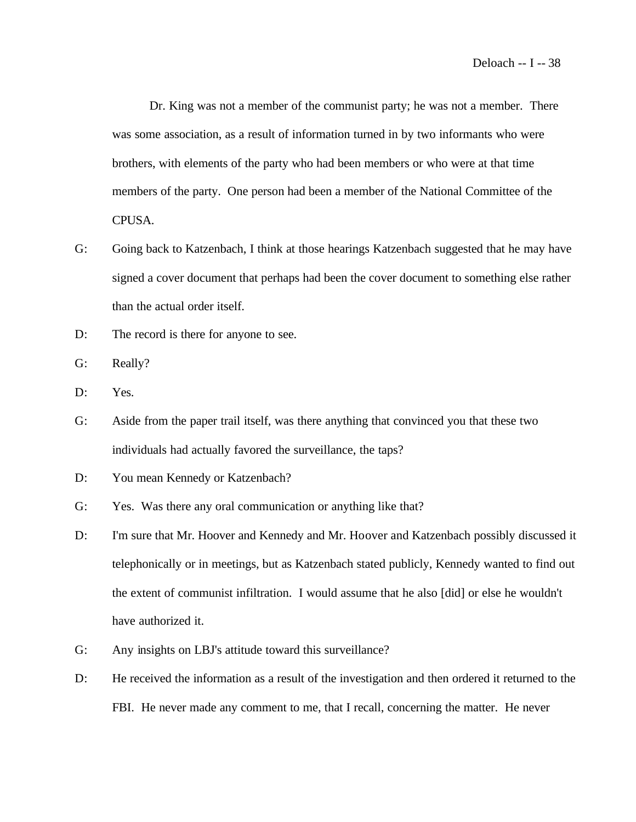Dr. King was not a member of the communist party; he was not a member. There was some association, as a result of information turned in by two informants who were brothers, with elements of the party who had been members or who were at that time members of the party. One person had been a member of the National Committee of the CPUSA.

- G: Going back to Katzenbach, I think at those hearings Katzenbach suggested that he may have signed a cover document that perhaps had been the cover document to something else rather than the actual order itself.
- D: The record is there for anyone to see.
- G: Really?
- D: Yes.
- G: Aside from the paper trail itself, was there anything that convinced you that these two individuals had actually favored the surveillance, the taps?
- D: You mean Kennedy or Katzenbach?
- G: Yes. Was there any oral communication or anything like that?
- D: I'm sure that Mr. Hoover and Kennedy and Mr. Hoover and Katzenbach possibly discussed it telephonically or in meetings, but as Katzenbach stated publicly, Kennedy wanted to find out the extent of communist infiltration. I would assume that he also [did] or else he wouldn't have authorized it.
- G: Any insights on LBJ's attitude toward this surveillance?
- D: He received the information as a result of the investigation and then ordered it returned to the FBI. He never made any comment to me, that I recall, concerning the matter. He never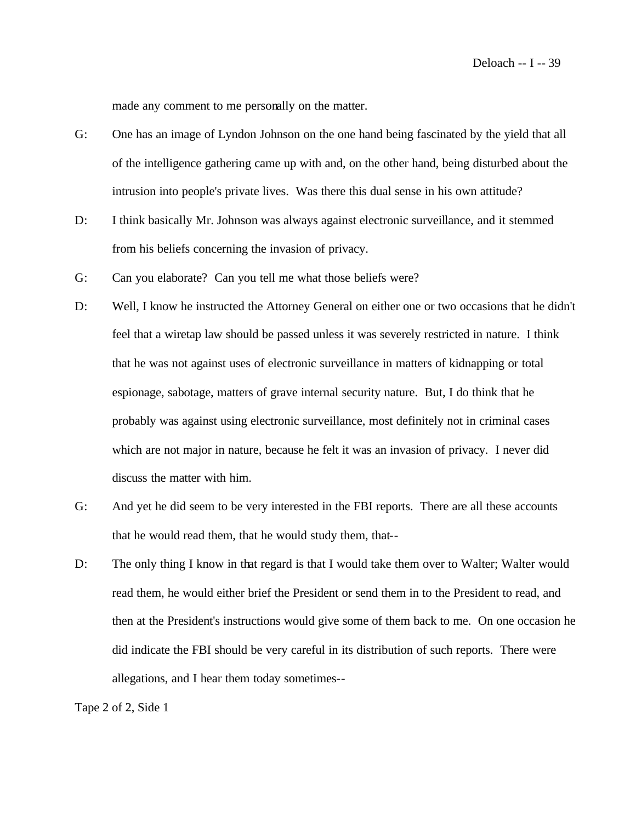made any comment to me personally on the matter.

- G: One has an image of Lyndon Johnson on the one hand being fascinated by the yield that all of the intelligence gathering came up with and, on the other hand, being disturbed about the intrusion into people's private lives. Was there this dual sense in his own attitude?
- D: I think basically Mr. Johnson was always against electronic surveillance, and it stemmed from his beliefs concerning the invasion of privacy.
- G: Can you elaborate? Can you tell me what those beliefs were?
- D: Well, I know he instructed the Attorney General on either one or two occasions that he didn't feel that a wiretap law should be passed unless it was severely restricted in nature. I think that he was not against uses of electronic surveillance in matters of kidnapping or total espionage, sabotage, matters of grave internal security nature. But, I do think that he probably was against using electronic surveillance, most definitely not in criminal cases which are not major in nature, because he felt it was an invasion of privacy. I never did discuss the matter with him.
- G: And yet he did seem to be very interested in the FBI reports. There are all these accounts that he would read them, that he would study them, that--
- D: The only thing I know in that regard is that I would take them over to Walter; Walter would read them, he would either brief the President or send them in to the President to read, and then at the President's instructions would give some of them back to me. On one occasion he did indicate the FBI should be very careful in its distribution of such reports. There were allegations, and I hear them today sometimes--

Tape 2 of 2, Side 1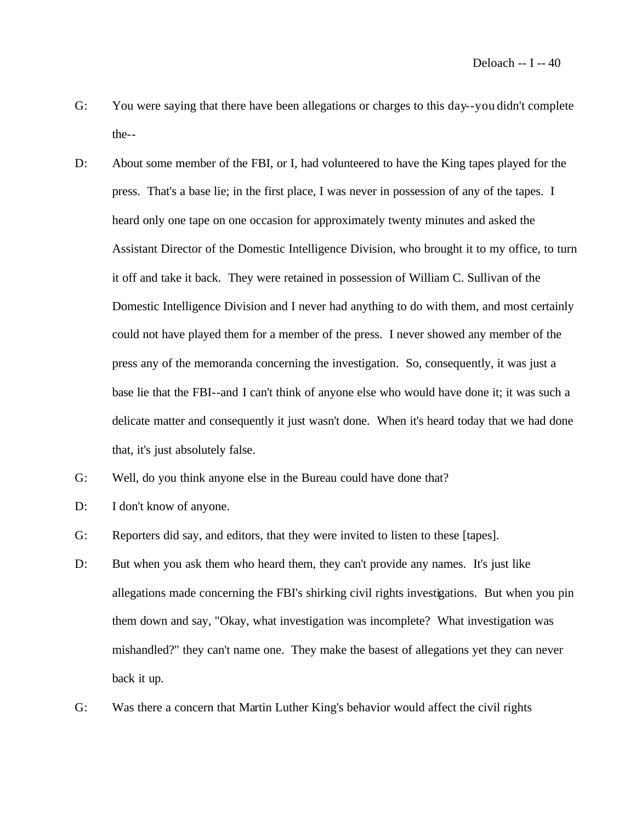- G: You were saying that there have been allegations or charges to this day--you didn't complete the--
- D: About some member of the FBI, or I, had volunteered to have the King tapes played for the press. That's a base lie; in the first place, I was never in possession of any of the tapes. I heard only one tape on one occasion for approximately twenty minutes and asked the Assistant Director of the Domestic Intelligence Division, who brought it to my office, to turn it off and take it back. They were retained in possession of William C. Sullivan of the Domestic Intelligence Division and I never had anything to do with them, and most certainly could not have played them for a member of the press. I never showed any member of the press any of the memoranda concerning the investigation. So, consequently, it was just a base lie that the FBI--and I can't think of anyone else who would have done it; it was such a delicate matter and consequently it just wasn't done. When it's heard today that we had done that, it's just absolutely false.
- G: Well, do you think anyone else in the Bureau could have done that?
- D: I don't know of anyone.
- G: Reporters did say, and editors, that they were invited to listen to these [tapes].
- D: But when you ask them who heard them, they can't provide any names. It's just like allegations made concerning the FBI's shirking civil rights investigations. But when you pin them down and say, "Okay, what investigation was incomplete? What investigation was mishandled?" they can't name one. They make the basest of allegations yet they can never back it up.
- G: Was there a concern that Martin Luther King's behavior would affect the civil rights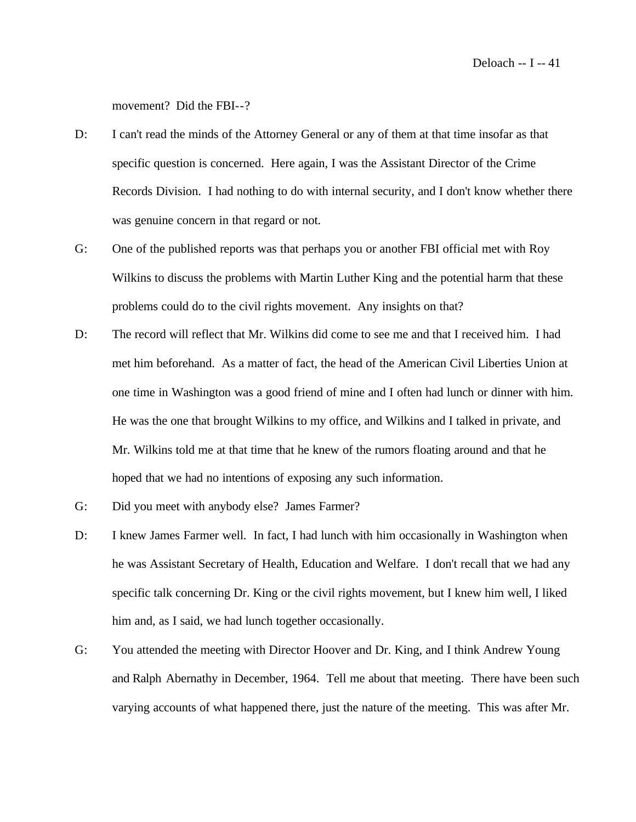movement? Did the FBI--?

- D: I can't read the minds of the Attorney General or any of them at that time insofar as that specific question is concerned. Here again, I was the Assistant Director of the Crime Records Division. I had nothing to do with internal security, and I don't know whether there was genuine concern in that regard or not.
- G: One of the published reports was that perhaps you or another FBI official met with Roy Wilkins to discuss the problems with Martin Luther King and the potential harm that these problems could do to the civil rights movement. Any insights on that?
- D: The record will reflect that Mr. Wilkins did come to see me and that I received him. I had met him beforehand. As a matter of fact, the head of the American Civil Liberties Union at one time in Washington was a good friend of mine and I often had lunch or dinner with him. He was the one that brought Wilkins to my office, and Wilkins and I talked in private, and Mr. Wilkins told me at that time that he knew of the rumors floating around and that he hoped that we had no intentions of exposing any such information.
- G: Did you meet with anybody else? James Farmer?
- D: I knew James Farmer well. In fact, I had lunch with him occasionally in Washington when he was Assistant Secretary of Health, Education and Welfare. I don't recall that we had any specific talk concerning Dr. King or the civil rights movement, but I knew him well, I liked him and, as I said, we had lunch together occasionally.
- G: You attended the meeting with Director Hoover and Dr. King, and I think Andrew Young and Ralph Abernathy in December, 1964. Tell me about that meeting. There have been such varying accounts of what happened there, just the nature of the meeting. This was after Mr.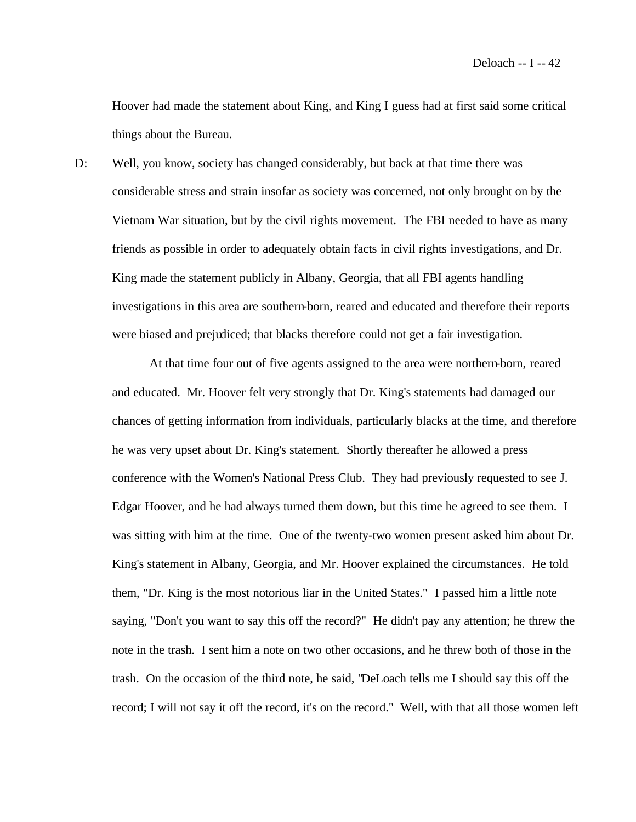Hoover had made the statement about King, and King I guess had at first said some critical things about the Bureau.

D: Well, you know, society has changed considerably, but back at that time there was considerable stress and strain insofar as society was concerned, not only brought on by the Vietnam War situation, but by the civil rights movement. The FBI needed to have as many friends as possible in order to adequately obtain facts in civil rights investigations, and Dr. King made the statement publicly in Albany, Georgia, that all FBI agents handling investigations in this area are southern-born, reared and educated and therefore their reports were biased and prejudiced; that blacks therefore could not get a fair investigation.

At that time four out of five agents assigned to the area were northern-born, reared and educated. Mr. Hoover felt very strongly that Dr. King's statements had damaged our chances of getting information from individuals, particularly blacks at the time, and therefore he was very upset about Dr. King's statement. Shortly thereafter he allowed a press conference with the Women's National Press Club. They had previously requested to see J. Edgar Hoover, and he had always turned them down, but this time he agreed to see them. I was sitting with him at the time. One of the twenty-two women present asked him about Dr. King's statement in Albany, Georgia, and Mr. Hoover explained the circumstances. He told them, "Dr. King is the most notorious liar in the United States." I passed him a little note saying, "Don't you want to say this off the record?" He didn't pay any attention; he threw the note in the trash. I sent him a note on two other occasions, and he threw both of those in the trash. On the occasion of the third note, he said, "DeLoach tells me I should say this off the record; I will not say it off the record, it's on the record." Well, with that all those women left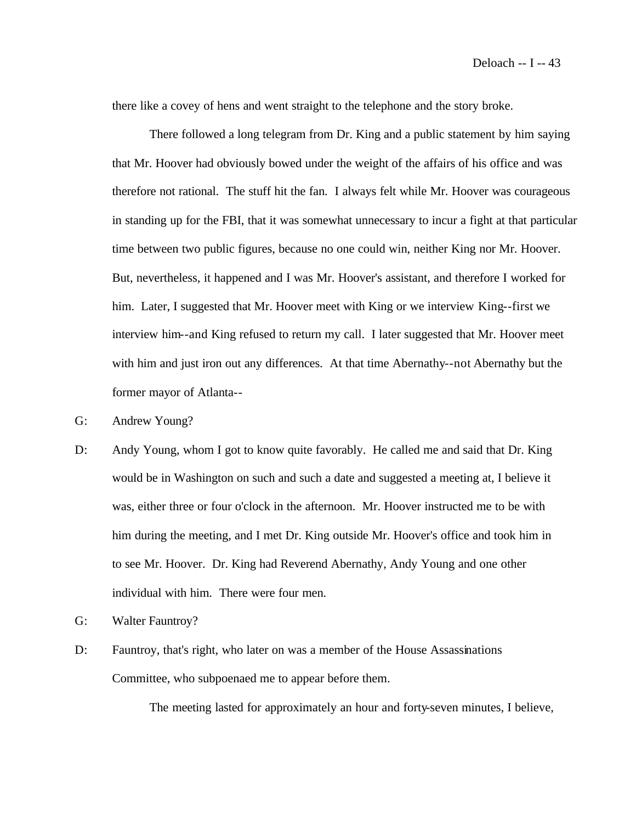there like a covey of hens and went straight to the telephone and the story broke.

There followed a long telegram from Dr. King and a public statement by him saying that Mr. Hoover had obviously bowed under the weight of the affairs of his office and was therefore not rational. The stuff hit the fan. I always felt while Mr. Hoover was courageous in standing up for the FBI, that it was somewhat unnecessary to incur a fight at that particular time between two public figures, because no one could win, neither King nor Mr. Hoover. But, nevertheless, it happened and I was Mr. Hoover's assistant, and therefore I worked for him. Later, I suggested that Mr. Hoover meet with King or we interview King--first we interview him--and King refused to return my call. I later suggested that Mr. Hoover meet with him and just iron out any differences. At that time Abernathy--not Abernathy but the former mayor of Atlanta--

- G: Andrew Young?
- D: Andy Young, whom I got to know quite favorably. He called me and said that Dr. King would be in Washington on such and such a date and suggested a meeting at, I believe it was, either three or four o'clock in the afternoon. Mr. Hoover instructed me to be with him during the meeting, and I met Dr. King outside Mr. Hoover's office and took him in to see Mr. Hoover. Dr. King had Reverend Abernathy, Andy Young and one other individual with him. There were four men.
- G: Walter Fauntroy?
- D: Fauntroy, that's right, who later on was a member of the House Assassinations Committee, who subpoenaed me to appear before them.

The meeting lasted for approximately an hour and forty-seven minutes, I believe,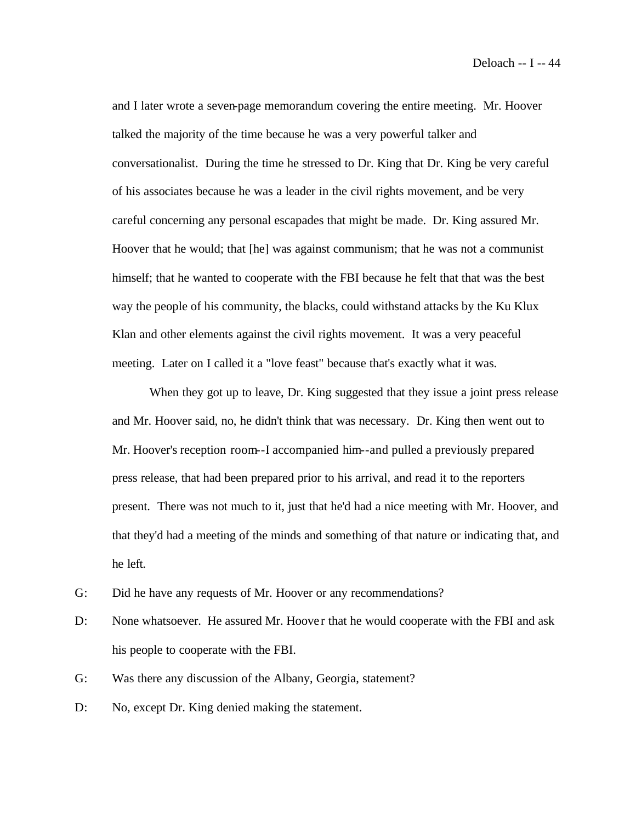and I later wrote a seven-page memorandum covering the entire meeting. Mr. Hoover talked the majority of the time because he was a very powerful talker and conversationalist. During the time he stressed to Dr. King that Dr. King be very careful of his associates because he was a leader in the civil rights movement, and be very careful concerning any personal escapades that might be made. Dr. King assured Mr. Hoover that he would; that [he] was against communism; that he was not a communist himself; that he wanted to cooperate with the FBI because he felt that that was the best way the people of his community, the blacks, could withstand attacks by the Ku Klux Klan and other elements against the civil rights movement. It was a very peaceful meeting. Later on I called it a "love feast" because that's exactly what it was.

When they got up to leave, Dr. King suggested that they issue a joint press release and Mr. Hoover said, no, he didn't think that was necessary. Dr. King then went out to Mr. Hoover's reception room--I accompanied him--and pulled a previously prepared press release, that had been prepared prior to his arrival, and read it to the reporters present. There was not much to it, just that he'd had a nice meeting with Mr. Hoover, and that they'd had a meeting of the minds and something of that nature or indicating that, and he left.

- G: Did he have any requests of Mr. Hoover or any recommendations?
- D: None whatsoever. He assured Mr. Hoover that he would cooperate with the FBI and ask his people to cooperate with the FBI.
- G: Was there any discussion of the Albany, Georgia, statement?
- D: No, except Dr. King denied making the statement.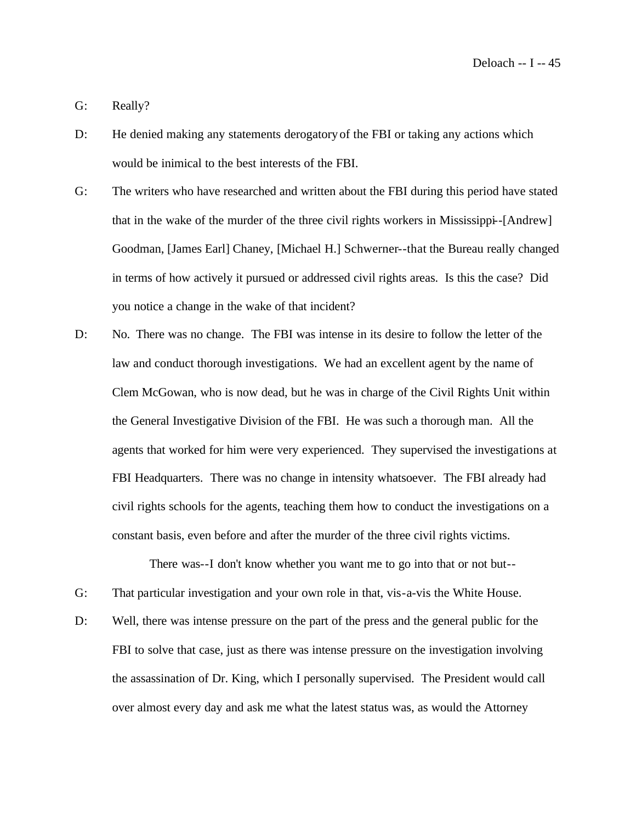G: Really?

- D: He denied making any statements derogatory of the FBI or taking any actions which would be inimical to the best interests of the FBI.
- G: The writers who have researched and written about the FBI during this period have stated that in the wake of the murder of the three civil rights workers in Mississippi--[Andrew] Goodman, [James Earl] Chaney, [Michael H.] Schwerner--that the Bureau really changed in terms of how actively it pursued or addressed civil rights areas. Is this the case? Did you notice a change in the wake of that incident?
- D: No. There was no change. The FBI was intense in its desire to follow the letter of the law and conduct thorough investigations. We had an excellent agent by the name of Clem McGowan, who is now dead, but he was in charge of the Civil Rights Unit within the General Investigative Division of the FBI. He was such a thorough man. All the agents that worked for him were very experienced. They supervised the investigations at FBI Headquarters. There was no change in intensity whatsoever. The FBI already had civil rights schools for the agents, teaching them how to conduct the investigations on a constant basis, even before and after the murder of the three civil rights victims.

There was--I don't know whether you want me to go into that or not but--

- G: That particular investigation and your own role in that, vis-a-vis the White House.
- D: Well, there was intense pressure on the part of the press and the general public for the FBI to solve that case, just as there was intense pressure on the investigation involving the assassination of Dr. King, which I personally supervised. The President would call over almost every day and ask me what the latest status was, as would the Attorney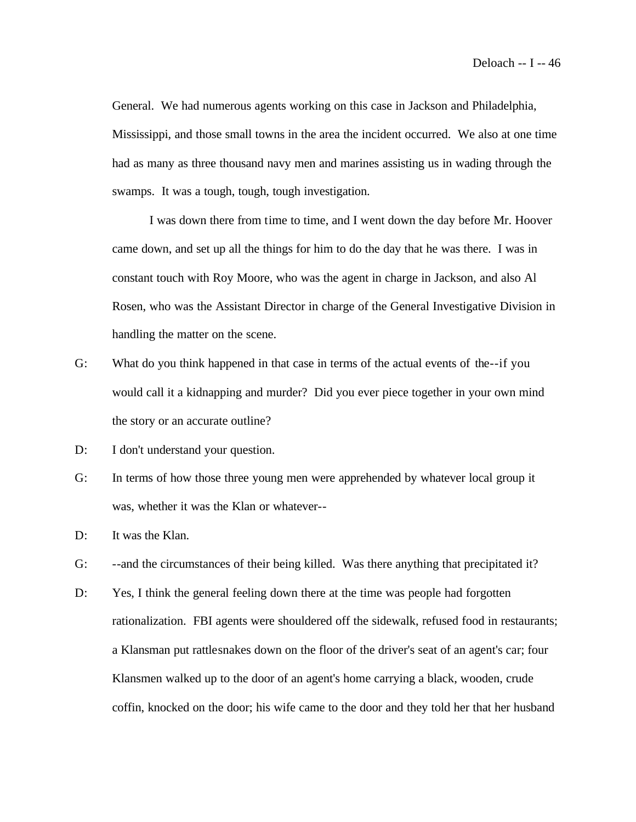General. We had numerous agents working on this case in Jackson and Philadelphia, Mississippi, and those small towns in the area the incident occurred. We also at one time had as many as three thousand navy men and marines assisting us in wading through the swamps. It was a tough, tough, tough investigation.

I was down there from time to time, and I went down the day before Mr. Hoover came down, and set up all the things for him to do the day that he was there. I was in constant touch with Roy Moore, who was the agent in charge in Jackson, and also Al Rosen, who was the Assistant Director in charge of the General Investigative Division in handling the matter on the scene.

- G: What do you think happened in that case in terms of the actual events of the--if you would call it a kidnapping and murder? Did you ever piece together in your own mind the story or an accurate outline?
- D: I don't understand your question.
- G: In terms of how those three young men were apprehended by whatever local group it was, whether it was the Klan or whatever--
- D: It was the Klan.
- G: --and the circumstances of their being killed. Was there anything that precipitated it?
- D: Yes, I think the general feeling down there at the time was people had forgotten rationalization. FBI agents were shouldered off the sidewalk, refused food in restaurants; a Klansman put rattlesnakes down on the floor of the driver's seat of an agent's car; four Klansmen walked up to the door of an agent's home carrying a black, wooden, crude coffin, knocked on the door; his wife came to the door and they told her that her husband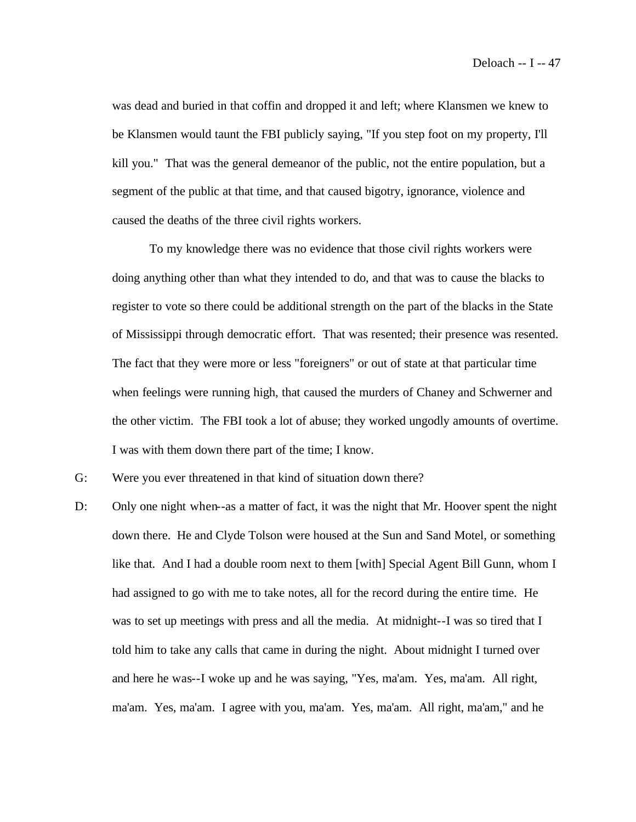was dead and buried in that coffin and dropped it and left; where Klansmen we knew to be Klansmen would taunt the FBI publicly saying, "If you step foot on my property, I'll kill you." That was the general demeanor of the public, not the entire population, but a segment of the public at that time, and that caused bigotry, ignorance, violence and caused the deaths of the three civil rights workers.

To my knowledge there was no evidence that those civil rights workers were doing anything other than what they intended to do, and that was to cause the blacks to register to vote so there could be additional strength on the part of the blacks in the State of Mississippi through democratic effort. That was resented; their presence was resented. The fact that they were more or less "foreigners" or out of state at that particular time when feelings were running high, that caused the murders of Chaney and Schwerner and the other victim. The FBI took a lot of abuse; they worked ungodly amounts of overtime. I was with them down there part of the time; I know.

- G: Were you ever threatened in that kind of situation down there?
- D: Only one night when--as a matter of fact, it was the night that Mr. Hoover spent the night down there. He and Clyde Tolson were housed at the Sun and Sand Motel, or something like that. And I had a double room next to them [with] Special Agent Bill Gunn, whom I had assigned to go with me to take notes, all for the record during the entire time. He was to set up meetings with press and all the media. At midnight--I was so tired that I told him to take any calls that came in during the night. About midnight I turned over and here he was--I woke up and he was saying, "Yes, ma'am. Yes, ma'am. All right, ma'am. Yes, ma'am. I agree with you, ma'am. Yes, ma'am. All right, ma'am," and he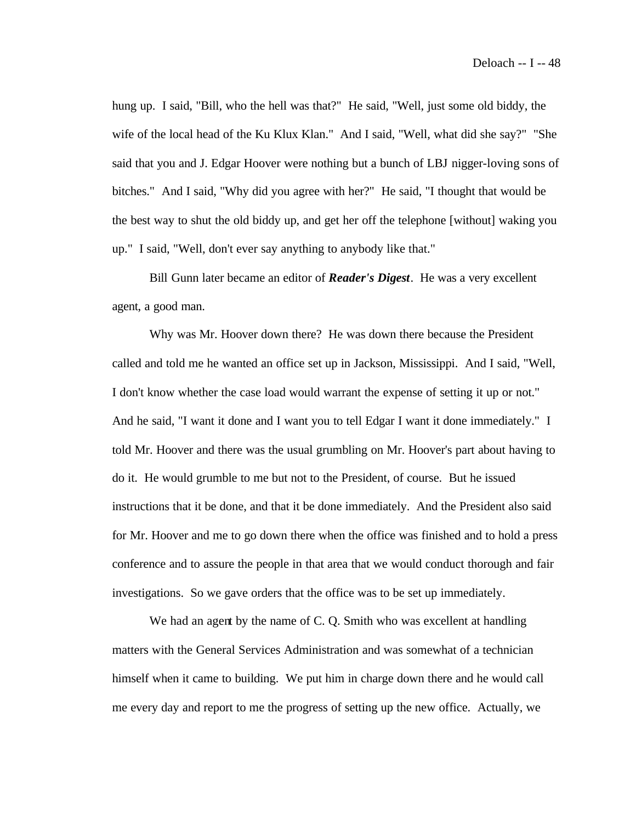hung up. I said, "Bill, who the hell was that?" He said, "Well, just some old biddy, the wife of the local head of the Ku Klux Klan." And I said, "Well, what did she say?" "She said that you and J. Edgar Hoover were nothing but a bunch of LBJ nigger-loving sons of bitches." And I said, "Why did you agree with her?" He said, "I thought that would be the best way to shut the old biddy up, and get her off the telephone [without] waking you up." I said, "Well, don't ever say anything to anybody like that."

Bill Gunn later became an editor of *Reader's Digest*. He was a very excellent agent, a good man.

Why was Mr. Hoover down there? He was down there because the President called and told me he wanted an office set up in Jackson, Mississippi. And I said, "Well, I don't know whether the case load would warrant the expense of setting it up or not." And he said, "I want it done and I want you to tell Edgar I want it done immediately." I told Mr. Hoover and there was the usual grumbling on Mr. Hoover's part about having to do it. He would grumble to me but not to the President, of course. But he issued instructions that it be done, and that it be done immediately. And the President also said for Mr. Hoover and me to go down there when the office was finished and to hold a press conference and to assure the people in that area that we would conduct thorough and fair investigations. So we gave orders that the office was to be set up immediately.

We had an agent by the name of C. Q. Smith who was excellent at handling matters with the General Services Administration and was somewhat of a technician himself when it came to building. We put him in charge down there and he would call me every day and report to me the progress of setting up the new office. Actually, we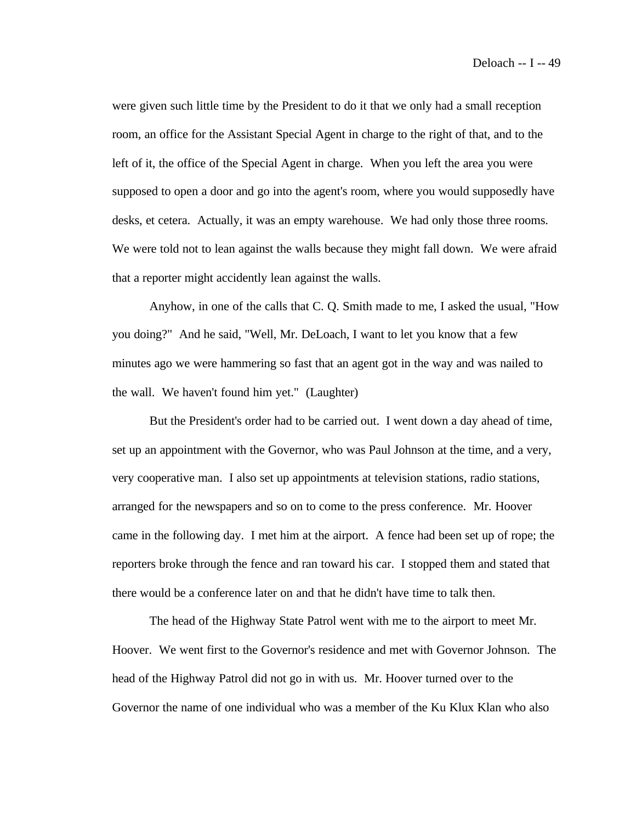were given such little time by the President to do it that we only had a small reception room, an office for the Assistant Special Agent in charge to the right of that, and to the left of it, the office of the Special Agent in charge. When you left the area you were supposed to open a door and go into the agent's room, where you would supposedly have desks, et cetera. Actually, it was an empty warehouse. We had only those three rooms. We were told not to lean against the walls because they might fall down. We were afraid that a reporter might accidently lean against the walls.

Anyhow, in one of the calls that C. Q. Smith made to me, I asked the usual, "How you doing?" And he said, "Well, Mr. DeLoach, I want to let you know that a few minutes ago we were hammering so fast that an agent got in the way and was nailed to the wall. We haven't found him yet." (Laughter)

But the President's order had to be carried out. I went down a day ahead of time, set up an appointment with the Governor, who was Paul Johnson at the time, and a very, very cooperative man. I also set up appointments at television stations, radio stations, arranged for the newspapers and so on to come to the press conference. Mr. Hoover came in the following day. I met him at the airport. A fence had been set up of rope; the reporters broke through the fence and ran toward his car. I stopped them and stated that there would be a conference later on and that he didn't have time to talk then.

The head of the Highway State Patrol went with me to the airport to meet Mr. Hoover. We went first to the Governor's residence and met with Governor Johnson. The head of the Highway Patrol did not go in with us. Mr. Hoover turned over to the Governor the name of one individual who was a member of the Ku Klux Klan who also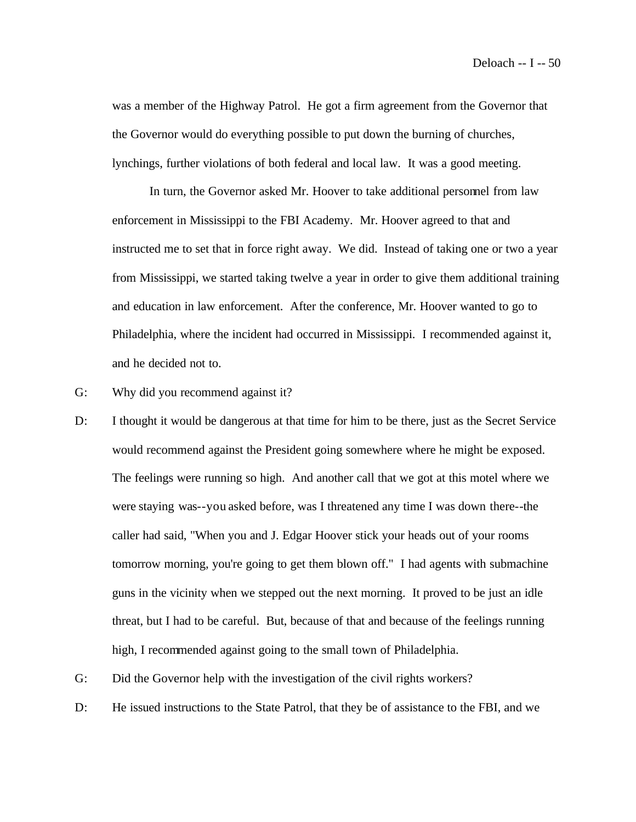was a member of the Highway Patrol. He got a firm agreement from the Governor that the Governor would do everything possible to put down the burning of churches, lynchings, further violations of both federal and local law. It was a good meeting.

In turn, the Governor asked Mr. Hoover to take additional personnel from law enforcement in Mississippi to the FBI Academy. Mr. Hoover agreed to that and instructed me to set that in force right away. We did. Instead of taking one or two a year from Mississippi, we started taking twelve a year in order to give them additional training and education in law enforcement. After the conference, Mr. Hoover wanted to go to Philadelphia, where the incident had occurred in Mississippi. I recommended against it, and he decided not to.

- G: Why did you recommend against it?
- D: I thought it would be dangerous at that time for him to be there, just as the Secret Service would recommend against the President going somewhere where he might be exposed. The feelings were running so high. And another call that we got at this motel where we were staying was--you asked before, was I threatened any time I was down there--the caller had said, "When you and J. Edgar Hoover stick your heads out of your rooms tomorrow morning, you're going to get them blown off." I had agents with submachine guns in the vicinity when we stepped out the next morning. It proved to be just an idle threat, but I had to be careful. But, because of that and because of the feelings running high, I recommended against going to the small town of Philadelphia.
- G: Did the Governor help with the investigation of the civil rights workers?
- D: He issued instructions to the State Patrol, that they be of assistance to the FBI, and we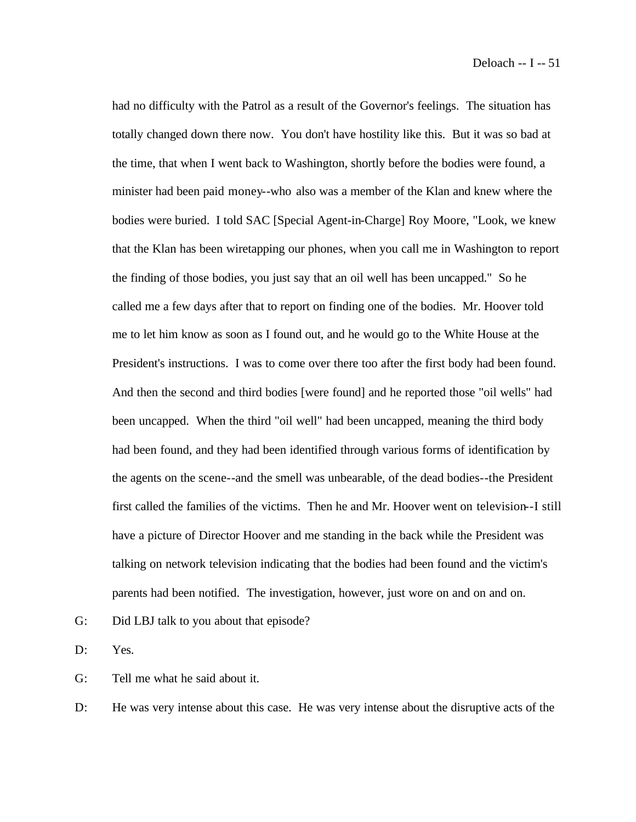had no difficulty with the Patrol as a result of the Governor's feelings. The situation has totally changed down there now. You don't have hostility like this. But it was so bad at the time, that when I went back to Washington, shortly before the bodies were found, a minister had been paid money--who also was a member of the Klan and knew where the bodies were buried. I told SAC [Special Agent-in-Charge] Roy Moore, "Look, we knew that the Klan has been wiretapping our phones, when you call me in Washington to report the finding of those bodies, you just say that an oil well has been uncapped." So he called me a few days after that to report on finding one of the bodies. Mr. Hoover told me to let him know as soon as I found out, and he would go to the White House at the President's instructions. I was to come over there too after the first body had been found. And then the second and third bodies [were found] and he reported those "oil wells" had been uncapped. When the third "oil well" had been uncapped, meaning the third body had been found, and they had been identified through various forms of identification by the agents on the scene--and the smell was unbearable, of the dead bodies--the President first called the families of the victims. Then he and Mr. Hoover went on television--I still have a picture of Director Hoover and me standing in the back while the President was talking on network television indicating that the bodies had been found and the victim's parents had been notified. The investigation, however, just wore on and on and on.

G: Did LBJ talk to you about that episode?

D: Yes.

G: Tell me what he said about it.

D: He was very intense about this case. He was very intense about the disruptive acts of the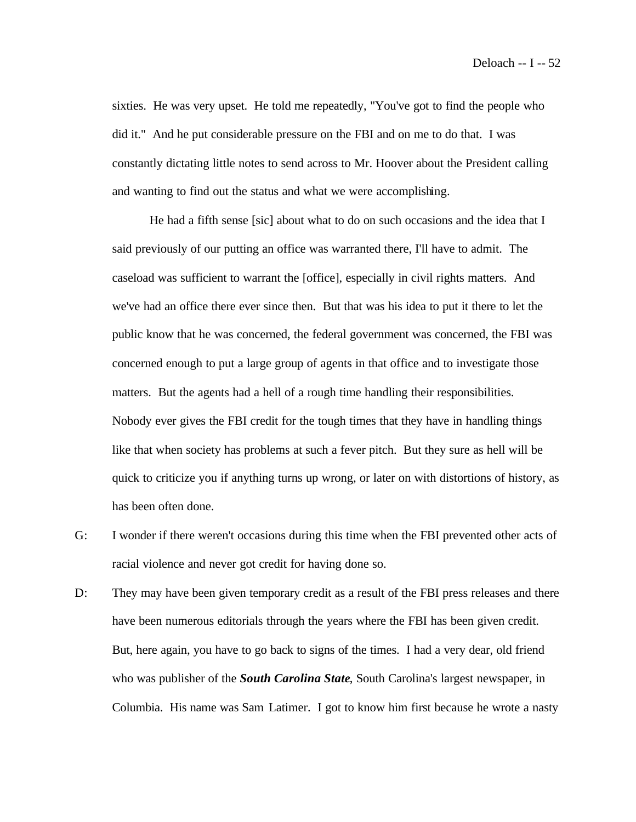sixties. He was very upset. He told me repeatedly, "You've got to find the people who did it." And he put considerable pressure on the FBI and on me to do that. I was constantly dictating little notes to send across to Mr. Hoover about the President calling and wanting to find out the status and what we were accomplishing.

He had a fifth sense [sic] about what to do on such occasions and the idea that I said previously of our putting an office was warranted there, I'll have to admit. The caseload was sufficient to warrant the [office], especially in civil rights matters. And we've had an office there ever since then. But that was his idea to put it there to let the public know that he was concerned, the federal government was concerned, the FBI was concerned enough to put a large group of agents in that office and to investigate those matters. But the agents had a hell of a rough time handling their responsibilities. Nobody ever gives the FBI credit for the tough times that they have in handling things like that when society has problems at such a fever pitch. But they sure as hell will be quick to criticize you if anything turns up wrong, or later on with distortions of history, as has been often done.

- G: I wonder if there weren't occasions during this time when the FBI prevented other acts of racial violence and never got credit for having done so.
- D: They may have been given temporary credit as a result of the FBI press releases and there have been numerous editorials through the years where the FBI has been given credit. But, here again, you have to go back to signs of the times. I had a very dear, old friend who was publisher of the *South Carolina State*, South Carolina's largest newspaper, in Columbia. His name was Sam Latimer. I got to know him first because he wrote a nasty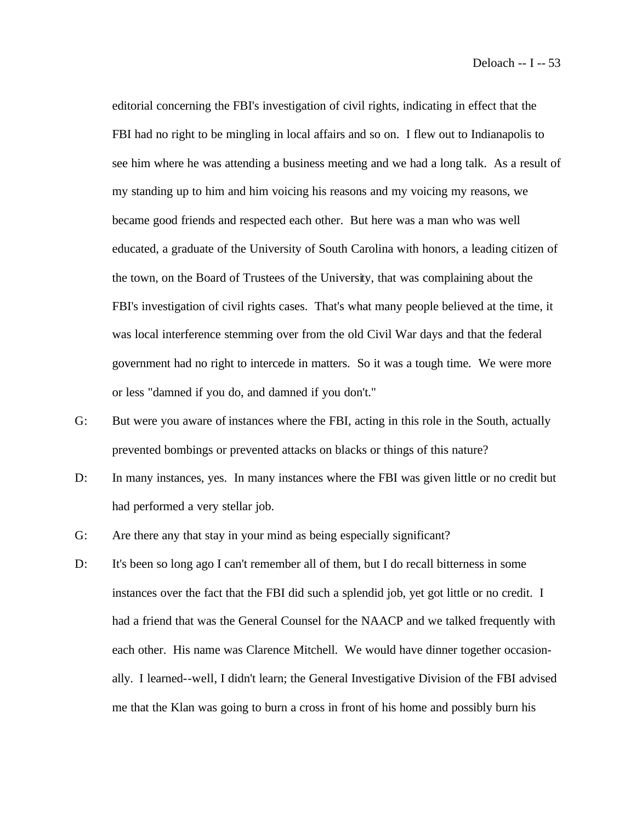editorial concerning the FBI's investigation of civil rights, indicating in effect that the FBI had no right to be mingling in local affairs and so on. I flew out to Indianapolis to see him where he was attending a business meeting and we had a long talk. As a result of my standing up to him and him voicing his reasons and my voicing my reasons, we became good friends and respected each other. But here was a man who was well educated, a graduate of the University of South Carolina with honors, a leading citizen of the town, on the Board of Trustees of the University, that was complaining about the FBI's investigation of civil rights cases. That's what many people believed at the time, it was local interference stemming over from the old Civil War days and that the federal government had no right to intercede in matters. So it was a tough time. We were more or less "damned if you do, and damned if you don't."

- G: But were you aware of instances where the FBI, acting in this role in the South, actually prevented bombings or prevented attacks on blacks or things of this nature?
- D: In many instances, yes. In many instances where the FBI was given little or no credit but had performed a very stellar job.
- G: Are there any that stay in your mind as being especially significant?
- D: It's been so long ago I can't remember all of them, but I do recall bitterness in some instances over the fact that the FBI did such a splendid job, yet got little or no credit. I had a friend that was the General Counsel for the NAACP and we talked frequently with each other. His name was Clarence Mitchell. We would have dinner together occasionally. I learned--well, I didn't learn; the General Investigative Division of the FBI advised me that the Klan was going to burn a cross in front of his home and possibly burn his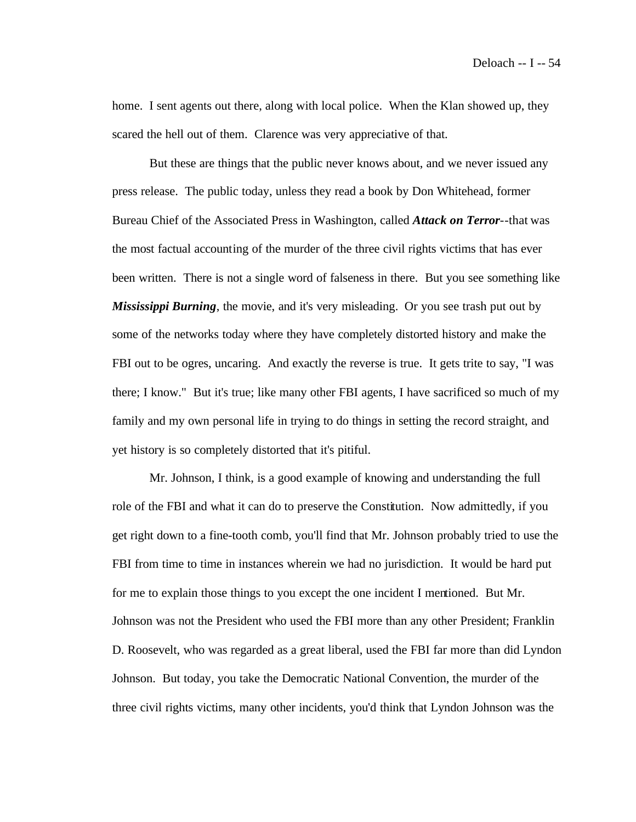home. I sent agents out there, along with local police. When the Klan showed up, they scared the hell out of them. Clarence was very appreciative of that.

But these are things that the public never knows about, and we never issued any press release. The public today, unless they read a book by Don Whitehead, former Bureau Chief of the Associated Press in Washington, called *Attack on Terror*--that was the most factual accounting of the murder of the three civil rights victims that has ever been written. There is not a single word of falseness in there. But you see something like *Mississippi Burning*, the movie, and it's very misleading. Or you see trash put out by some of the networks today where they have completely distorted history and make the FBI out to be ogres, uncaring. And exactly the reverse is true. It gets trite to say, "I was there; I know." But it's true; like many other FBI agents, I have sacrificed so much of my family and my own personal life in trying to do things in setting the record straight, and yet history is so completely distorted that it's pitiful.

Mr. Johnson, I think, is a good example of knowing and understanding the full role of the FBI and what it can do to preserve the Constitution. Now admittedly, if you get right down to a fine-tooth comb, you'll find that Mr. Johnson probably tried to use the FBI from time to time in instances wherein we had no jurisdiction. It would be hard put for me to explain those things to you except the one incident I mentioned. But Mr. Johnson was not the President who used the FBI more than any other President; Franklin D. Roosevelt, who was regarded as a great liberal, used the FBI far more than did Lyndon Johnson. But today, you take the Democratic National Convention, the murder of the three civil rights victims, many other incidents, you'd think that Lyndon Johnson was the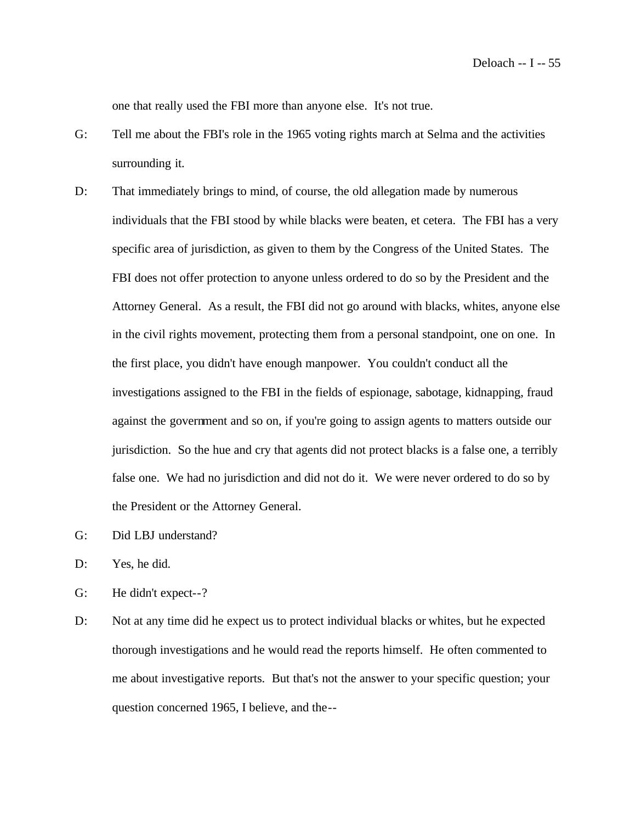one that really used the FBI more than anyone else. It's not true.

- G: Tell me about the FBI's role in the 1965 voting rights march at Selma and the activities surrounding it.
- D: That immediately brings to mind, of course, the old allegation made by numerous individuals that the FBI stood by while blacks were beaten, et cetera. The FBI has a very specific area of jurisdiction, as given to them by the Congress of the United States. The FBI does not offer protection to anyone unless ordered to do so by the President and the Attorney General. As a result, the FBI did not go around with blacks, whites, anyone else in the civil rights movement, protecting them from a personal standpoint, one on one. In the first place, you didn't have enough manpower. You couldn't conduct all the investigations assigned to the FBI in the fields of espionage, sabotage, kidnapping, fraud against the government and so on, if you're going to assign agents to matters outside our jurisdiction. So the hue and cry that agents did not protect blacks is a false one, a terribly false one. We had no jurisdiction and did not do it. We were never ordered to do so by the President or the Attorney General.
- G: Did LBJ understand?
- D: Yes, he did.
- G: He didn't expect--?
- D: Not at any time did he expect us to protect individual blacks or whites, but he expected thorough investigations and he would read the reports himself. He often commented to me about investigative reports. But that's not the answer to your specific question; your question concerned 1965, I believe, and the--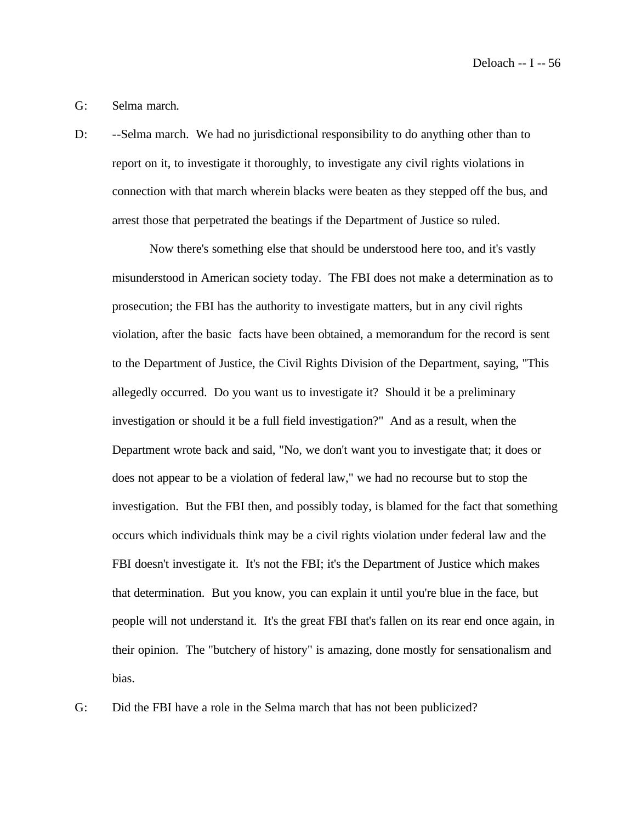Deloach -- I -- 56

#### G: Selma march.

D: --Selma march. We had no jurisdictional responsibility to do anything other than to report on it, to investigate it thoroughly, to investigate any civil rights violations in connection with that march wherein blacks were beaten as they stepped off the bus, and arrest those that perpetrated the beatings if the Department of Justice so ruled.

Now there's something else that should be understood here too, and it's vastly misunderstood in American society today. The FBI does not make a determination as to prosecution; the FBI has the authority to investigate matters, but in any civil rights violation, after the basic facts have been obtained, a memorandum for the record is sent to the Department of Justice, the Civil Rights Division of the Department, saying, "This allegedly occurred. Do you want us to investigate it? Should it be a preliminary investigation or should it be a full field investigation?" And as a result, when the Department wrote back and said, "No, we don't want you to investigate that; it does or does not appear to be a violation of federal law," we had no recourse but to stop the investigation. But the FBI then, and possibly today, is blamed for the fact that something occurs which individuals think may be a civil rights violation under federal law and the FBI doesn't investigate it. It's not the FBI; it's the Department of Justice which makes that determination. But you know, you can explain it until you're blue in the face, but people will not understand it. It's the great FBI that's fallen on its rear end once again, in their opinion. The "butchery of history" is amazing, done mostly for sensationalism and bias.

G: Did the FBI have a role in the Selma march that has not been publicized?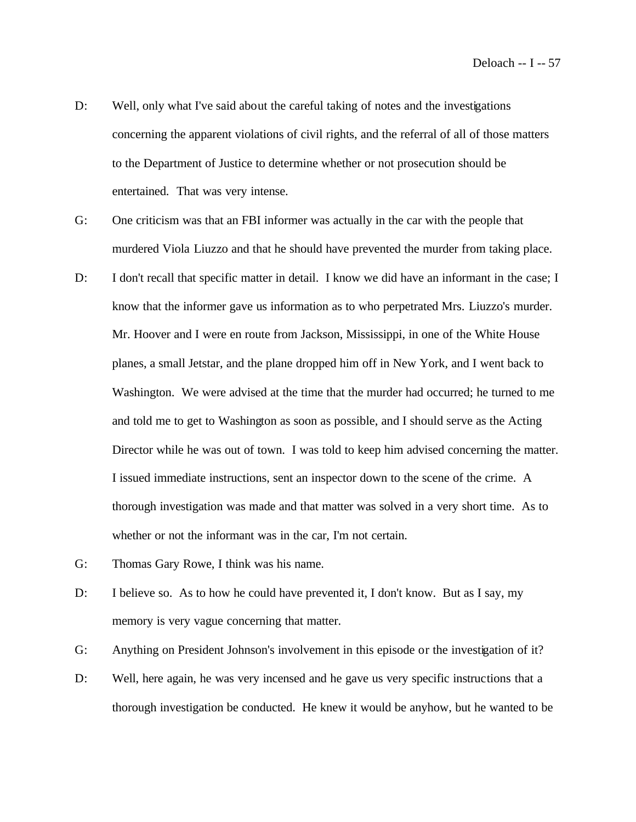- D: Well, only what I've said about the careful taking of notes and the investigations concerning the apparent violations of civil rights, and the referral of all of those matters to the Department of Justice to determine whether or not prosecution should be entertained. That was very intense.
- G: One criticism was that an FBI informer was actually in the car with the people that murdered Viola Liuzzo and that he should have prevented the murder from taking place.
- D: I don't recall that specific matter in detail. I know we did have an informant in the case; I know that the informer gave us information as to who perpetrated Mrs. Liuzzo's murder. Mr. Hoover and I were en route from Jackson, Mississippi, in one of the White House planes, a small Jetstar, and the plane dropped him off in New York, and I went back to Washington. We were advised at the time that the murder had occurred; he turned to me and told me to get to Washington as soon as possible, and I should serve as the Acting Director while he was out of town. I was told to keep him advised concerning the matter. I issued immediate instructions, sent an inspector down to the scene of the crime. A thorough investigation was made and that matter was solved in a very short time. As to whether or not the informant was in the car, I'm not certain.
- G: Thomas Gary Rowe, I think was his name.
- D: I believe so. As to how he could have prevented it, I don't know. But as I say, my memory is very vague concerning that matter.
- G: Anything on President Johnson's involvement in this episode or the investigation of it?
- D: Well, here again, he was very incensed and he gave us very specific instructions that a thorough investigation be conducted. He knew it would be anyhow, but he wanted to be